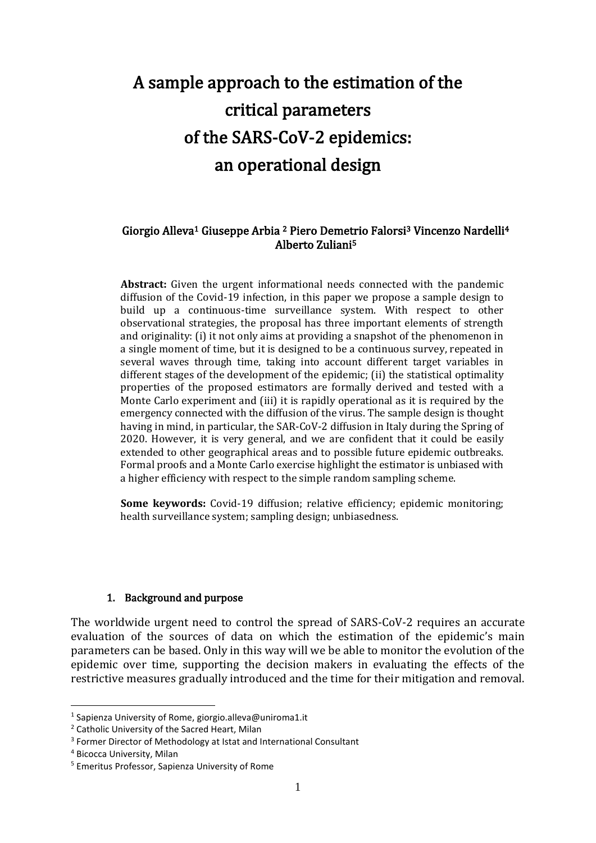# A sample approach to the estimation of the critical parameters of the SARS-CoV-2 epidemics: an operational design

### Giorgio Alleva1 Giuseppe Arbia 2 Piero Demetrio Falorsi3 Vincenzo Nardelli<sup>4</sup> Alberto Zuliani<sup>5</sup>

**Abstract:** Given the urgent informational needs connected with the pandemic diffusion of the Covid-19 infection, in this paper we propose a sample design to build up a continuous-time surveillance system. With respect to other observational strategies, the proposal has three important elements of strength and originality: (i) it not only aims at providing a snapshot of the phenomenon in a single moment of time, but it is designed to be a continuous survey, repeated in several waves through time, taking into account different target variables in different stages of the development of the epidemic; (ii) the statistical optimality properties of the proposed estimators are formally derived and tested with a Monte Carlo experiment and (iii) it is rapidly operational as it is required by the emergency connected with the diffusion of the virus. The sample design is thought having in mind, in particular, the SAR-CoV-2 diffusion in Italy during the Spring of 2020. However, it is very general, and we are confident that it could be easily extended to other geographical areas and to possible future epidemic outbreaks. Formal proofs and a Monte Carlo exercise highlight the estimator is unbiased with a higher efficiency with respect to the simple random sampling scheme.

**Some keywords:** Covid-19 diffusion; relative efficiency; epidemic monitoring; health surveillance system; sampling design; unbiasedness.

#### 1. Background and purpose

The worldwide urgent need to control the spread of SARS-CoV-2 requires an accurate evaluation of the sources of data on which the estimation of the epidemic's main parameters can be based. Only in this way will we be able to monitor the evolution of the epidemic over time, supporting the decision makers in evaluating the effects of the restrictive measures gradually introduced and the time for their mitigation and removal.

<sup>&</sup>lt;sup>1</sup> Sapienza University of Rome, giorgio.alleva@uniroma1.it

<sup>2</sup> Catholic University of the Sacred Heart, Milan

<sup>&</sup>lt;sup>3</sup> Former Director of Methodology at Istat and International Consultant

<sup>4</sup> Bicocca University, Milan

<sup>5</sup> Emeritus Professor, Sapienza University of Rome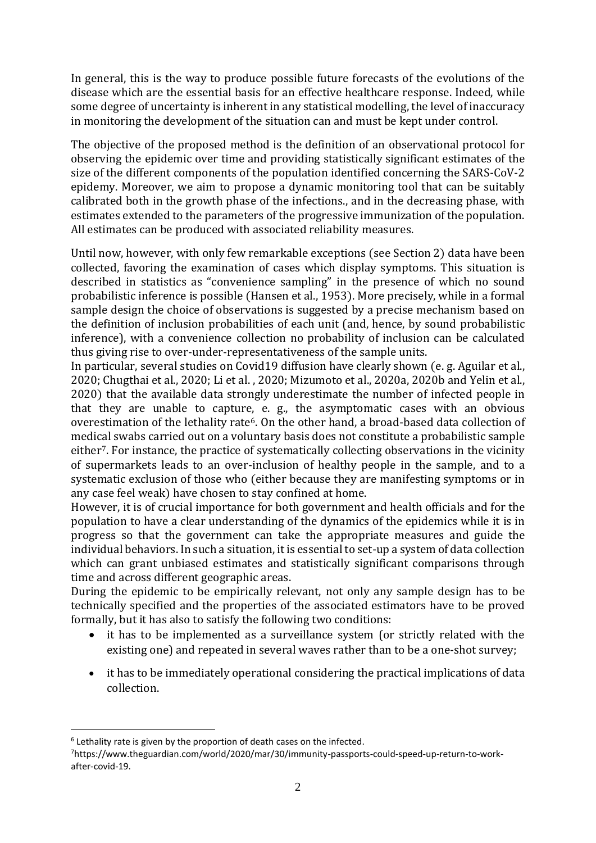In general, this is the way to produce possible future forecasts of the evolutions of the disease which are the essential basis for an effective healthcare response. Indeed, while some degree of uncertainty is inherent in any statistical modelling, the level of inaccuracy in monitoring the development of the situation can and must be kept under control.

The objective of the proposed method is the definition of an observational protocol for observing the epidemic over time and providing statistically significant estimates of the size of the different components of the population identified concerning the SARS-CoV-2 epidemy. Moreover, we aim to propose a dynamic monitoring tool that can be suitably calibrated both in the growth phase of the infections., and in the decreasing phase, with estimates extended to the parameters of the progressive immunization of the population. All estimates can be produced with associated reliability measures.

Until now, however, with only few remarkable exceptions (see Section 2) data have been collected, favoring the examination of cases which display symptoms. This situation is described in statistics as "convenience sampling" in the presence of which no sound probabilistic inference is possible (Hansen et al., 1953). More precisely, while in a formal sample design the choice of observations is suggested by a precise mechanism based on the definition of inclusion probabilities of each unit (and, hence, by sound probabilistic inference), with a convenience collection no probability of inclusion can be calculated thus giving rise to over-under-representativeness of the sample units.

In particular, several studies on Covid19 diffusion have clearly shown (e. g. Aguilar et al., 2020; Chugthai et al., 2020; Li et al. , 2020; Mizumoto et al., 2020a, 2020b and Yelin et al., 2020) that the available data strongly underestimate the number of infected people in that they are unable to capture, e. g., the asymptomatic cases with an obvious overestimation of the lethality rate<sup>6</sup>. On the other hand, a broad-based data collection of medical swabs carried out on a voluntary basis does not constitute a probabilistic sample either7. For instance, the practice of systematically collecting observations in the vicinity of supermarkets leads to an over-inclusion of healthy people in the sample, and to a systematic exclusion of those who (either because they are manifesting symptoms or in any case feel weak) have chosen to stay confined at home.

However, it is of crucial importance for both government and health officials and for the population to have a clear understanding of the dynamics of the epidemics while it is in progress so that the government can take the appropriate measures and guide the individual behaviors. In such a situation, it is essential to set-up a system of data collection which can grant unbiased estimates and statistically significant comparisons through time and across different geographic areas.

During the epidemic to be empirically relevant, not only any sample design has to be technically specified and the properties of the associated estimators have to be proved formally, but it has also to satisfy the following two conditions:

- it has to be implemented as a surveillance system (or strictly related with the existing one) and repeated in several waves rather than to be a one-shot survey;
- it has to be immediately operational considering the practical implications of data collection.

 $6$  Lethality rate is given by the proportion of death cases on the infected.

<sup>7</sup>https://www.theguardian.com/world/2020/mar/30/immunity-passports-could-speed-up-return-to-workafter-covid-19.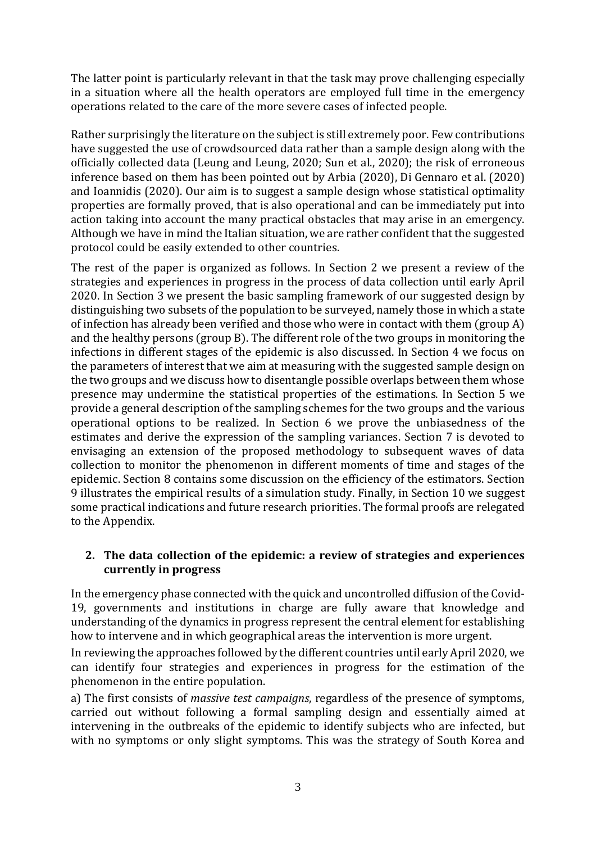The latter point is particularly relevant in that the task may prove challenging especially in a situation where all the health operators are employed full time in the emergency operations related to the care of the more severe cases of infected people.

Rather surprisingly the literature on the subject is still extremely poor. Few contributions have suggested the use of crowdsourced data rather than a sample design along with the officially collected data (Leung and Leung, 2020; Sun et al., 2020); the risk of erroneous inference based on them has been pointed out by Arbia (2020), Di Gennaro et al. (2020) and Ioannidis (2020). Our aim is to suggest a sample design whose statistical optimality properties are formally proved, that is also operational and can be immediately put into action taking into account the many practical obstacles that may arise in an emergency. Although we have in mind the Italian situation, we are rather confident that the suggested protocol could be easily extended to other countries.

The rest of the paper is organized as follows. In Section 2 we present a review of the strategies and experiences in progress in the process of data collection until early April 2020. In Section 3 we present the basic sampling framework of our suggested design by distinguishing two subsets of the population to be surveyed, namely those in which a state of infection has already been verified and those who were in contact with them (group A) and the healthy persons (group B). The different role of the two groups in monitoring the infections in different stages of the epidemic is also discussed. In Section 4 we focus on the parameters of interest that we aim at measuring with the suggested sample design on the two groups and we discuss how to disentangle possible overlaps between them whose presence may undermine the statistical properties of the estimations. In Section 5 we provide a general description of the sampling schemes for the two groups and the various operational options to be realized. In Section 6 we prove the unbiasedness of the estimates and derive the expression of the sampling variances. Section 7 is devoted to envisaging an extension of the proposed methodology to subsequent waves of data collection to monitor the phenomenon in different moments of time and stages of the epidemic. Section 8 contains some discussion on the efficiency of the estimators. Section 9 illustrates the empirical results of a simulation study. Finally, in Section 10 we suggest some practical indications and future research priorities. The formal proofs are relegated to the Appendix.

# **2. The data collection of the epidemic: a review of strategies and experiences currently in progress**

In the emergency phase connected with the quick and uncontrolled diffusion of the Covid-19, governments and institutions in charge are fully aware that knowledge and understanding of the dynamics in progress represent the central element for establishing how to intervene and in which geographical areas the intervention is more urgent.

In reviewing the approaches followed by the different countries until early April 2020, we can identify four strategies and experiences in progress for the estimation of the phenomenon in the entire population.

a) The first consists of *massive test campaigns*, regardless of the presence of symptoms, carried out without following a formal sampling design and essentially aimed at intervening in the outbreaks of the epidemic to identify subjects who are infected, but with no symptoms or only slight symptoms. This was the strategy of South Korea and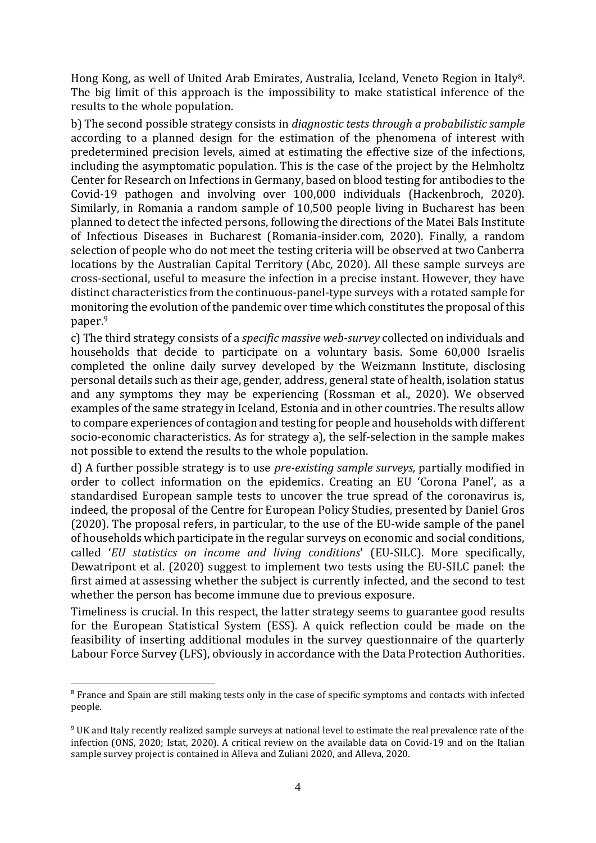Hong Kong, as well of United Arab Emirates, Australia, Iceland, Veneto Region in Italy8. The big limit of this approach is the impossibility to make statistical inference of the results to the whole population.

b) The second possible strategy consists in *diagnostic tests through a probabilistic sample* according to a planned design for the estimation of the phenomena of interest with predetermined precision levels, aimed at estimating the effective size of the infections, including the asymptomatic population. This is the case of the project by the Helmholtz Center for Research on Infections in Germany, based on blood testing for antibodies to the Covid-19 pathogen and involving over 100,000 individuals (Hackenbroch, 2020). Similarly, in Romania a random sample of 10,500 people living in Bucharest has been planned to detect the infected persons, following the directions of the Matei Bals Institute of Infectious Diseases in Bucharest (Romania-insider.com, 2020). Finally, a random selection of people who do not meet the testing criteria will be observed at two Canberra locations by the Australian Capital Territory (Abc, 2020). All these sample surveys are cross-sectional, useful to measure the infection in a precise instant. However, they have distinct characteristics from the continuous-panel-type surveys with a rotated sample for monitoring the evolution of the pandemic over time which constitutes the proposal of this paper. 9

c) The third strategy consists of a *specific massive web-survey* collected on individuals and households that decide to participate on a voluntary basis. Some 60,000 Israelis completed the online daily survey developed by the Weizmann Institute, disclosing personal details such as their age, gender, address, general state of health, isolation status and any symptoms they may be experiencing (Rossman et al., 2020). We observed examples of the same strategy in Iceland, Estonia and in other countries. The results allow to compare experiences of contagion and testing for people and households with different socio-economic characteristics. As for strategy a), the self-selection in the sample makes not possible to extend the results to the whole population.

d) A further possible strategy is to use *pre-existing sample surveys,* partially modified in order to collect information on the epidemics. Creating an EU 'Corona Panel', as a standardised European sample tests to uncover the true spread of the coronavirus is, indeed, the proposal of the Centre for European Policy Studies, presented by Daniel Gros (2020). The proposal refers, in particular, to the use of the EU-wide sample of the panel of households which participate in the regular surveys on economic and social conditions, called '*EU statistics on income and living conditions*' (EU-SILC). More specifically, Dewatripont et al. (2020) suggest to implement two tests using the EU-SILC panel: the first aimed at assessing whether the subject is currently infected, and the second to test whether the person has become immune due to previous exposure.

Timeliness is crucial. In this respect, the latter strategy seems to guarantee good results for the European Statistical System (ESS). A quick reflection could be made on the feasibility of inserting additional modules in the survey questionnaire of the quarterly Labour Force Survey (LFS), obviously in accordance with the Data Protection Authorities.

<sup>&</sup>lt;sup>8</sup> France and Spain are still making tests only in the case of specific symptoms and contacts with infected people.

<sup>9</sup> UK and Italy recently realized sample surveys at national level to estimate the real prevalence rate of the infection (ONS, 2020; Istat, 2020). A critical review on the available data on Covid-19 and on the Italian sample survey project is contained in Alleva and Zuliani 2020, and Alleva, 2020.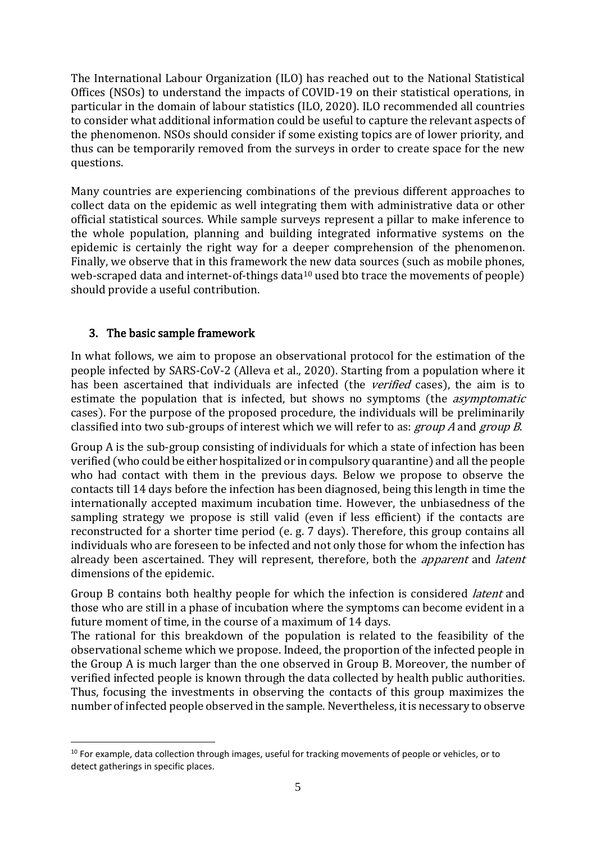The International Labour Organization (ILO) has reached out to the National Statistical Offices (NSOs) to understand the impacts of COVID-19 on their statistical operations, in particular in the domain of labour statistics (ILO, 2020). ILO recommended all countries to consider what additional information could be useful to capture the relevant aspects of the phenomenon. NSOs should consider if some existing topics are of lower priority, and thus can be temporarily removed from the surveys in order to create space for the new questions.

Many countries are experiencing combinations of the previous different approaches to collect data on the epidemic as well integrating them with administrative data or other official statistical sources. While sample surveys represent a pillar to make inference to the whole population, planning and building integrated informative systems on the epidemic is certainly the right way for a deeper comprehension of the phenomenon. Finally, we observe that in this framework the new data sources (such as mobile phones, web-scraped data and internet-of-things data<sup>10</sup> used bto trace the movements of people) should provide a useful contribution.

# 3. The basic sample framework

In what follows, we aim to propose an observational protocol for the estimation of the people infected by SARS-CoV-2 (Alleva et al., 2020). Starting from a population where it has been ascertained that individuals are infected (the *verified* cases), the aim is to estimate the population that is infected, but shows no symptoms (the *asymptomatic* cases). For the purpose of the proposed procedure, the individuals will be preliminarily classified into two sub-groups of interest which we will refer to as: *group A* and *group B*.

Group A is the sub-group consisting of individuals for which a state of infection has been verified (who could be either hospitalized or in compulsory quarantine) and all the people who had contact with them in the previous days. Below we propose to observe the contacts till 14 days before the infection has been diagnosed, being this length in time the internationally accepted maximum incubation time. However, the unbiasedness of the sampling strategy we propose is still valid (even if less efficient) if the contacts are reconstructed for a shorter time period (e. g. 7 days). Therefore, this group contains all individuals who are foreseen to be infected and not only those for whom the infection has already been ascertained. They will represent, therefore, both the *apparent* and *latent* dimensions of the epidemic.

Group B contains both healthy people for which the infection is considered *latent* and those who are still in a phase of incubation where the symptoms can become evident in a future moment of time, in the course of a maximum of 14 days.

The rational for this breakdown of the population is related to the feasibility of the observational scheme which we propose. Indeed, the proportion of the infected people in the Group A is much larger than the one observed in Group B. Moreover, the number of verified infected people is known through the data collected by health public authorities. Thus, focusing the investments in observing the contacts of this group maximizes the number of infected people observed in the sample. Nevertheless, it is necessary to observe

<sup>&</sup>lt;sup>10</sup> For example, data collection through images, useful for tracking movements of people or vehicles, or to detect gatherings in specific places.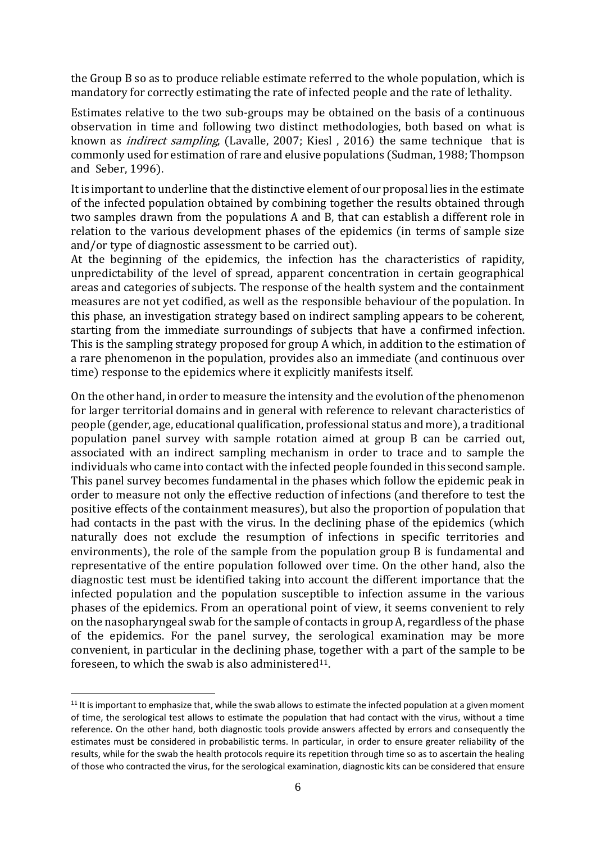the Group B so as to produce reliable estimate referred to the whole population, which is mandatory for correctly estimating the rate of infected people and the rate of lethality.

Estimates relative to the two sub-groups may be obtained on the basis of a continuous observation in time and following two distinct methodologies, both based on what is known as indirect sampling, (Lavalle, 2007; Kiesl , 2016) the same technique that is commonly used for estimation of rare and elusive populations (Sudman, 1988; Thompson and Seber, 1996).

It is important to underline that the distinctive element of our proposal lies in the estimate of the infected population obtained by combining together the results obtained through two samples drawn from the populations A and B, that can establish a different role in relation to the various development phases of the epidemics (in terms of sample size and/or type of diagnostic assessment to be carried out).

At the beginning of the epidemics, the infection has the characteristics of rapidity, unpredictability of the level of spread, apparent concentration in certain geographical areas and categories of subjects. The response of the health system and the containment measures are not yet codified, as well as the responsible behaviour of the population. In this phase, an investigation strategy based on indirect sampling appears to be coherent, starting from the immediate surroundings of subjects that have a confirmed infection. This is the sampling strategy proposed for group A which, in addition to the estimation of a rare phenomenon in the population, provides also an immediate (and continuous over time) response to the epidemics where it explicitly manifests itself.

On the other hand, in order to measure the intensity and the evolution of the phenomenon for larger territorial domains and in general with reference to relevant characteristics of people (gender, age, educational qualification, professional status and more), a traditional population panel survey with sample rotation aimed at group B can be carried out, associated with an indirect sampling mechanism in order to trace and to sample the individuals who came into contact with the infected people founded in this second sample. This panel survey becomes fundamental in the phases which follow the epidemic peak in order to measure not only the effective reduction of infections (and therefore to test the positive effects of the containment measures), but also the proportion of population that had contacts in the past with the virus. In the declining phase of the epidemics (which naturally does not exclude the resumption of infections in specific territories and environments), the role of the sample from the population group B is fundamental and representative of the entire population followed over time. On the other hand, also the diagnostic test must be identified taking into account the different importance that the infected population and the population susceptible to infection assume in the various phases of the epidemics. From an operational point of view, it seems convenient to rely on the nasopharyngeal swab for the sample of contacts in group A, regardless of the phase of the epidemics. For the panel survey, the serological examination may be more convenient, in particular in the declining phase, together with a part of the sample to be foreseen, to which the swab is also administered<sup>11</sup>.

 $11$  It is important to emphasize that, while the swab allows to estimate the infected population at a given moment of time, the serological test allows to estimate the population that had contact with the virus, without a time reference. On the other hand, both diagnostic tools provide answers affected by errors and consequently the estimates must be considered in probabilistic terms. In particular, in order to ensure greater reliability of the results, while for the swab the health protocols require its repetition through time so as to ascertain the healing of those who contracted the virus, for the serological examination, diagnostic kits can be considered that ensure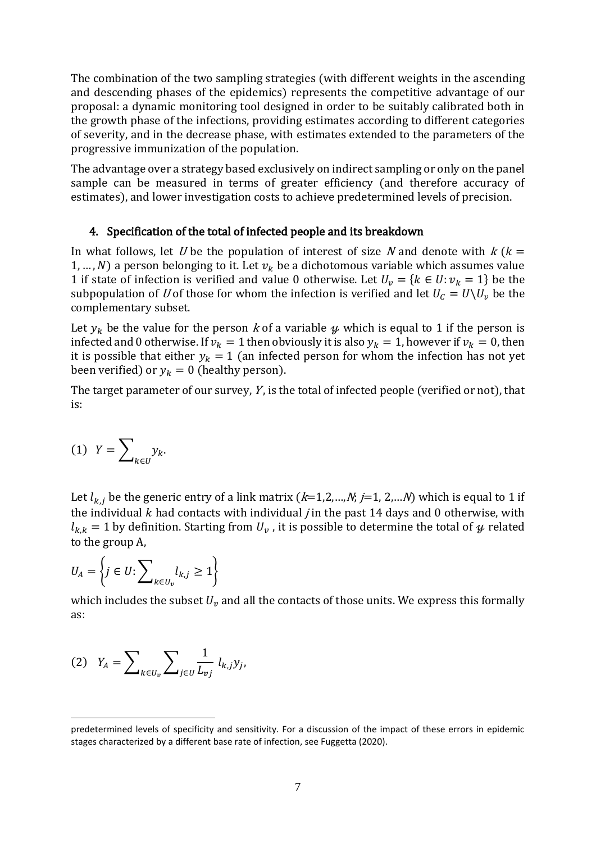The combination of the two sampling strategies (with different weights in the ascending and descending phases of the epidemics) represents the competitive advantage of our proposal: a dynamic monitoring tool designed in order to be suitably calibrated both in the growth phase of the infections, providing estimates according to different categories of severity, and in the decrease phase, with estimates extended to the parameters of the progressive immunization of the population.

The advantage over a strategy based exclusively on indirect sampling or only on the panel sample can be measured in terms of greater efficiency (and therefore accuracy of estimates), and lower investigation costs to achieve predetermined levels of precision.

#### 4. Specification of the total of infected people and its breakdown

In what follows, let U be the population of interest of size N and denote with  $k$  ( $k =$ 1, ..., N) a person belonging to it. Let  $v_k$  be a dichotomous variable which assumes value 1 if state of infection is verified and value 0 otherwise. Let  $U_v = \{k \in U : v_k = 1\}$  be the subpopulation of U of those for whom the infection is verified and let  $U_c = U \backslash U_v$  be the complementary subset.

Let  $y_k$  be the value for the person k of a variable  $\psi$  which is equal to 1 if the person is infected and 0 otherwise. If  $v_k = 1$  then obviously it is also  $y_k = 1$ , however if  $v_k = 0$ , then it is possible that either  $y_k = 1$  (an infected person for whom the infection has not yet been verified) or  $y_k = 0$  (healthy person).

The target parameter of our survey,  $Y$ , is the total of infected people (verified or not), that is:

$$
(1) \ \ Y = \sum\nolimits_{k \in U} y_k.
$$

Let  $l_{k,i}$  be the generic entry of a link matrix  $(k=1,2,...,N; j=1, 2,...N)$  which is equal to 1 if the individual  $k$  had contacts with individual *j* in the past 14 days and 0 otherwise, with  $l_{k,k}$  = 1 by definition. Starting from  $U_{\nu}$ , it is possible to determine the total of  $\mu$  related to the group A,

$$
U_A = \left\{ j \in U : \sum\nolimits_{k \in U_v} l_{k,j} \ge 1 \right\}
$$

which includes the subset  $U_{\nu}$  and all the contacts of those units. We express this formally as:

$$
(2) \quad Y_A = \sum\nolimits_{k \in U_v} \sum\nolimits_{j \in U} \frac{1}{L_{vj}} \; l_{k,j} y_j,
$$

predetermined levels of specificity and sensitivity. For a discussion of the impact of these errors in epidemic stages characterized by a different base rate of infection, see Fuggetta (2020).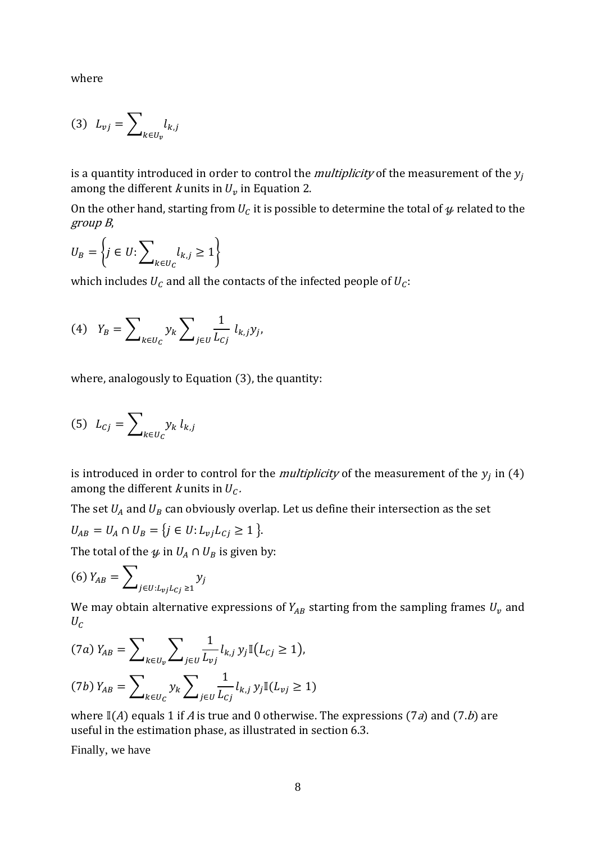where

$$
(3) \ L_{vj} = \sum\nolimits_{k \in U_v} l_{k,j}
$$

is a quantity introduced in order to control the *multiplicity* of the measurement of the  $y_i$ among the different *k* units in  $U_v$  in Equation 2.

On the other hand, starting from  $U_c$  it is possible to determine the total of  $\boldsymbol{\mathcal{Y}}$  related to the group <sup>B</sup>,

$$
U_B = \left\{ j \in U : \sum\nolimits_{k \in U_C} l_{k,j} \ge 1 \right\}
$$

which includes  $U_c$  and all the contacts of the infected people of  $U_c$ :

(4) 
$$
Y_B = \sum_{k \in U_C} y_k \sum_{j \in U} \frac{1}{L_{Cj}} l_{k,j} y_j
$$
,

where, analogously to Equation (3), the quantity:

$$
(5) \quad L_{Cj} = \sum\nolimits_{k \in U_C} y_k \; l_{k,j}
$$

is introduced in order to control for the *multiplicity* of the measurement of the  $y_j$  in (4) among the different k units in  $U_c$ .

The set  $U_A$  and  $U_B$  can obviously overlap. Let us define their intersection as the set

$$
U_{AB} = U_A \cap U_B = \{ j \in U : L_{vj} L_{Cj} \ge 1 \}.
$$

The total of the  $\psi$  in  $U_A \cap U_B$  is given by:

$$
(6) Y_{AB} = \sum\nolimits_{j \in U:L_{vj}L_{Cj} \ge 1} y_j
$$

We may obtain alternative expressions of  $Y_{AB}$  starting from the sampling frames  $U_v$  and  $U_{\mathcal{C}}$ 

$$
(7a) Y_{AB} = \sum_{k \in U_v} \sum_{j \in U} \frac{1}{L_{vj}} l_{k,j} y_j \mathbb{I}(L_{Cj} \ge 1),
$$
  

$$
(7b) Y_{AB} = \sum_{k \in U_C} y_k \sum_{j \in U} \frac{1}{L_{Cj}} l_{k,j} y_j \mathbb{I}(L_{vj} \ge 1)
$$

where  $\mathbb{I}(A)$  equals 1 if A is true and 0 otherwise. The expressions (7a) and (7.b) are useful in the estimation phase, as illustrated in section 6.3.

Finally, we have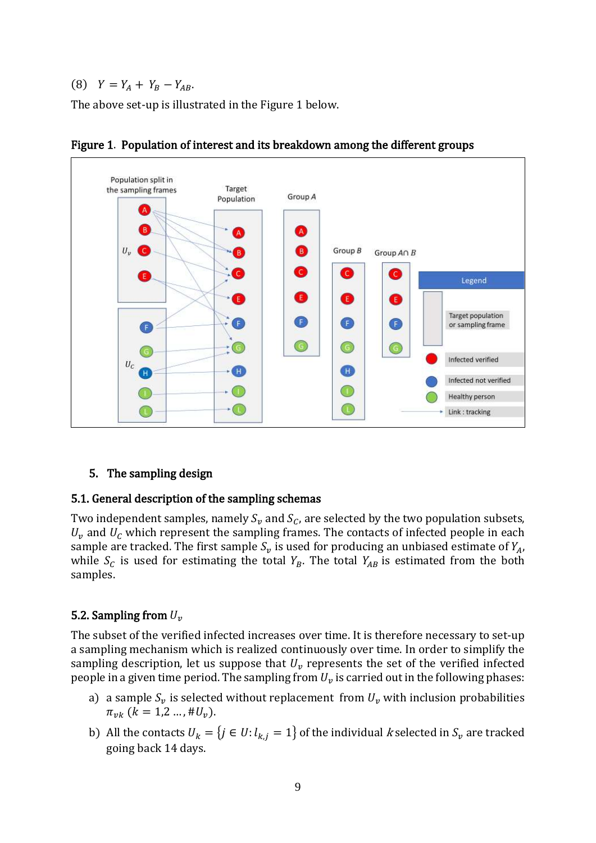(8)  $Y = Y_A + Y_B - Y_{AB}$ .

The above set-up is illustrated in the Figure 1 below.





#### 5. The sampling design

#### 5.1. General description of the sampling schemas

Two independent samples, namely  $S_v$  and  $S_c$ , are selected by the two population subsets,  $U_{\nu}$  and  $U_{C}$  which represent the sampling frames. The contacts of infected people in each sample are tracked. The first sample  $S_v$  is used for producing an unbiased estimate of  $Y_A$ , while  $S_c$  is used for estimating the total  $Y_B$ . The total  $Y_{AB}$  is estimated from the both samples.

# 5.2. Sampling from  $U_{\nu}$

The subset of the verified infected increases over time. It is therefore necessary to set-up a sampling mechanism which is realized continuously over time. In order to simplify the sampling description, let us suppose that  $U_v$  represents the set of the verified infected people in a given time period. The sampling from  $U_v$  is carried out in the following phases:

- a) a sample  $S_v$  is selected without replacement from  $U_v$  with inclusion probabilities  $\pi_{\nu k}$  ( $k = 1, 2, ..., \#U_{\nu}$ ).
- b) All the contacts  $U_k = \{ j \in U : l_{k,j} = 1 \}$  of the individual k selected in  $S_{\nu}$  are tracked going back 14 days.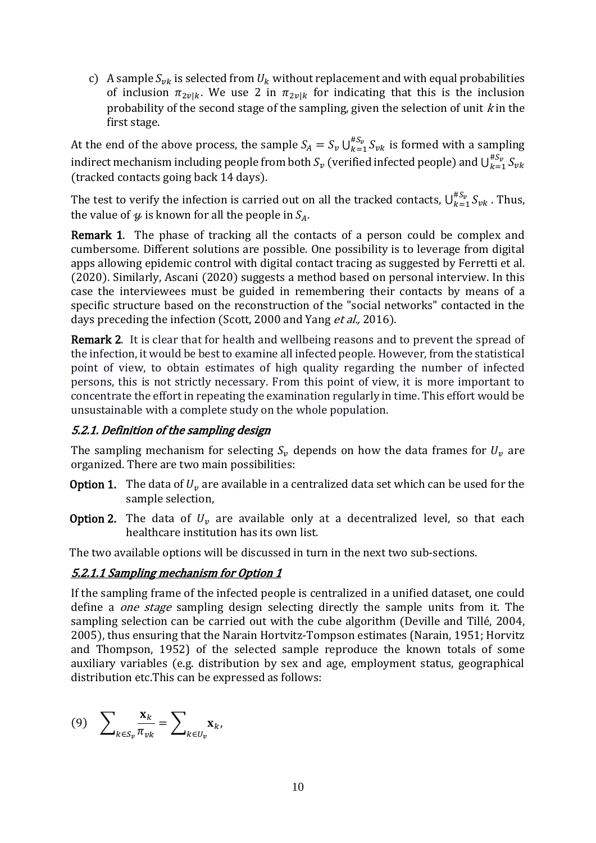c) A sample  $S_{\nu k}$  is selected from  $U_k$  without replacement and with equal probabilities of inclusion  $\pi_{2\nu\vert k}$ . We use 2 in  $\pi_{2\nu\vert k}$  for indicating that this is the inclusion probability of the second stage of the sampling, given the selection of unit  $k$  in the first stage.

At the end of the above process, the sample  $S_A = S_v \bigcup_{k=1}^{\#S_v} S_{vk}$  $\sum_{k=1}^{n_{3v}} S_{vk}$  is formed with a sampling indirect mechanism including people from both  $S_v$  (verified infected people) and  $\cup_{k=1}^{\#S_v}S_{vk}$  $k=1$ (tracked contacts going back 14 days).

The test to verify the infection is carried out on all the tracked contacts,  $\cup_{k=1}^{\#S_v}S_{vk}$  $\int_{k=1}^{H5\nu} S_{\nu k}$ . Thus, the value of  $\psi$  is known for all the people in  $S<sub>4</sub>$ .

Remark 1. The phase of tracking all the contacts of a person could be complex and cumbersome. Different solutions are possible. One possibility is to leverage from digital apps allowing epidemic control with digital contact tracing as suggested by Ferretti et al. (2020). Similarly, Ascani (2020) suggests a method based on personal interview. In this case the interviewees must be guided in remembering their contacts by means of a specific structure based on the reconstruction of the "social networks" contacted in the days preceding the infection (Scott, 2000 and Yang et al., 2016).

Remark 2. It is clear that for health and wellbeing reasons and to prevent the spread of the infection, it would be best to examine all infected people. However, from the statistical point of view, to obtain estimates of high quality regarding the number of infected persons, this is not strictly necessary. From this point of view, it is more important to concentrate the effort in repeating the examination regularly in time. This effort would be unsustainable with a complete study on the whole population.

# 5.2.1. Definition of the sampling design

The sampling mechanism for selecting  $S_{\nu}$  depends on how the data frames for  $U_{\nu}$  are organized. There are two main possibilities:

- **Option 1.** The data of  $U_v$  are available in a centralized data set which can be used for the sample selection,
- **Option 2.** The data of  $U_v$  are available only at a decentralized level, so that each healthcare institution has its own list.

The two available options will be discussed in turn in the next two sub-sections.

# 5.2.1.1 Sampling mechanism for Option 1

If the sampling frame of the infected people is centralized in a unified dataset, one could define a *one stage* sampling design selecting directly the sample units from it. The sampling selection can be carried out with the cube algorithm (Deville and Tillé, 2004, 2005), thus ensuring that the Narain Hortvitz-Tompson estimates (Narain, 1951; Horvitz and Thompson, 1952) of the selected sample reproduce the known totals of some auxiliary variables (e.g. distribution by sex and age, employment status, geographical distribution etc.This can be expressed as follows:

$$
(9) \quad \sum\nolimits_{k \in S_v} \frac{\mathbf{x}_k}{\pi_{vk}} = \sum\nolimits_{k \in U_v} \mathbf{x}_k,
$$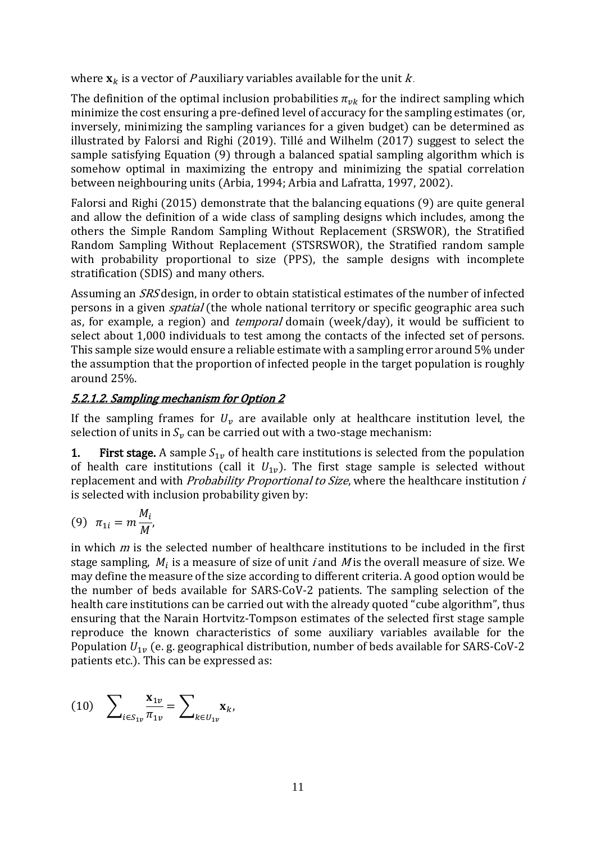where  $\mathbf{x}_k$  is a vector of *P* auxiliary variables available for the unit *k*.

The definition of the optimal inclusion probabilities  $\pi_{\nu k}$  for the indirect sampling which minimize the cost ensuring a pre-defined level of accuracy for the sampling estimates (or, inversely, minimizing the sampling variances for a given budget) can be determined as illustrated by Falorsi and Righi (2019). Tillé and Wilhelm (2017) suggest to select the sample satisfying Equation (9) through a balanced spatial sampling algorithm which is somehow optimal in maximizing the entropy and minimizing the spatial correlation between neighbouring units (Arbia, 1994; Arbia and Lafratta, 1997, 2002).

Falorsi and Righi (2015) demonstrate that the balancing equations (9) are quite general and allow the definition of a wide class of sampling designs which includes, among the others the Simple Random Sampling Without Replacement (SRSWOR), the Stratified Random Sampling Without Replacement (STSRSWOR), the Stratified random sample with probability proportional to size (PPS), the sample designs with incomplete stratification (SDIS) and many others.

Assuming an SRS design, in order to obtain statistical estimates of the number of infected persons in a given *spatial* (the whole national territory or specific geographic area such as, for example, a region) and *temporal* domain (week/day), it would be sufficient to select about 1,000 individuals to test among the contacts of the infected set of persons. This sample size would ensure a reliable estimate with a sampling error around 5% under the assumption that the proportion of infected people in the target population is roughly around 25%.

# 5.2.1.2. Sampling mechanism for Option 2

If the sampling frames for  $U_{\nu}$  are available only at healthcare institution level, the selection of units in  $S_n$  can be carried out with a two-stage mechanism:

1. First stage. A sample  $S_{1v}$  of health care institutions is selected from the population of health care institutions (call it  $U_{1v}$ ). The first stage sample is selected without replacement and with *Probability Proportional to Size*, where the healthcare institution *i* is selected with inclusion probability given by:

$$
(9) \quad \pi_{1i} = m \frac{M_i}{M'}
$$

in which  $m$  is the selected number of healthcare institutions to be included in the first stage sampling,  $M_i$  is a measure of size of unit *i* and  $M$  is the overall measure of size. We may define the measure of the size according to different criteria. A good option would be the number of beds available for SARS-CoV-2 patients. The sampling selection of the health care institutions can be carried out with the already quoted "cube algorithm", thus ensuring that the Narain Hortvitz-Tompson estimates of the selected first stage sample reproduce the known characteristics of some auxiliary variables available for the Population  $U_{1\nu}$  (e. g. geographical distribution, number of beds available for SARS-CoV-2 patients etc.). This can be expressed as:

(10) 
$$
\sum_{i \in S_{1v}} \frac{\mathbf{x}_{1v}}{\pi_{1v}} = \sum_{k \in U_{1v}} \mathbf{x}_k,
$$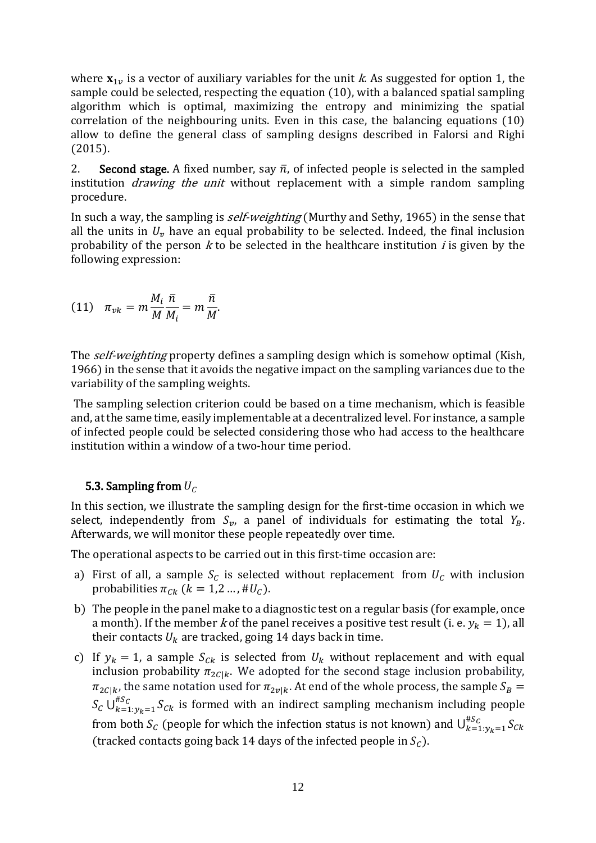where  $\mathbf{x}_{1v}$  is a vector of auxiliary variables for the unit k. As suggested for option 1, the sample could be selected, respecting the equation (10), with a balanced spatial sampling algorithm which is optimal, maximizing the entropy and minimizing the spatial correlation of the neighbouring units. Even in this case, the balancing equations (10) allow to define the general class of sampling designs described in Falorsi and Righi (2015).

2. Second stage. A fixed number, say  $\bar{n}$ , of infected people is selected in the sampled institution *drawing the unit* without replacement with a simple random sampling procedure.

In such a way, the sampling is *self-weighting* (Murthy and Sethy, 1965) in the sense that all the units in  $U_{\nu}$  have an equal probability to be selected. Indeed, the final inclusion probability of the person  $k$  to be selected in the healthcare institution  $i$  is given by the following expression:

$$
(11) \quad \pi_{\nu k} = m \frac{M_i}{M} \frac{\bar{n}}{M_i} = m \frac{\bar{n}}{M}.
$$

The *self-weighting* property defines a sampling design which is somehow optimal (Kish, 1966) in the sense that it avoids the negative impact on the sampling variances due to the variability of the sampling weights.

The sampling selection criterion could be based on a time mechanism, which is feasible and, at the same time, easily implementable at a decentralized level. For instance, a sample of infected people could be selected considering those who had access to the healthcare institution within a window of a two-hour time period.

# 5.3. Sampling from  $U_c$

In this section, we illustrate the sampling design for the first-time occasion in which we select, independently from  $S_v$ , a panel of individuals for estimating the total  $Y_B$ . Afterwards, we will monitor these people repeatedly over time.

The operational aspects to be carried out in this first-time occasion are:

- a) First of all, a sample  $S_c$  is selected without replacement from  $U_c$  with inclusion probabilities  $\pi_{Ck}$  ( $k = 1,2...$ , #U<sub>C</sub>).
- b) The people in the panel make to a diagnostic test on a regular basis (for example, once a month). If the member *k* of the panel receives a positive test result (i. e.  $y_k = 1$ ), all their contacts  $U_k$  are tracked, going 14 days back in time.
- c) If  $y_k = 1$ , a sample  $S_{ck}$  is selected from  $U_k$  without replacement and with equal inclusion probability  $\pi_{2C|k}$ . We adopted for the second stage inclusion probability,  $\pi_{2C|k}$ , the same notation used for  $\pi_{2v|k}$ . At end of the whole process, the sample  $S_B$  =  $S_C \bigcup_{k=1:y_k=1}^{#S_C} S_{Ck}$  $_{k=1:y_k=1}^{x,c} S_{Ck}$  is formed with an indirect sampling mechanism including people from both  $S_c$  (people for which the infection status is not known) and  $\bigcup_{k=1:\gamma_k=1}^{\#S_c}S_{ck}$  $k=1: y_k=1$ (tracked contacts going back 14 days of the infected people in  $S_c$ ).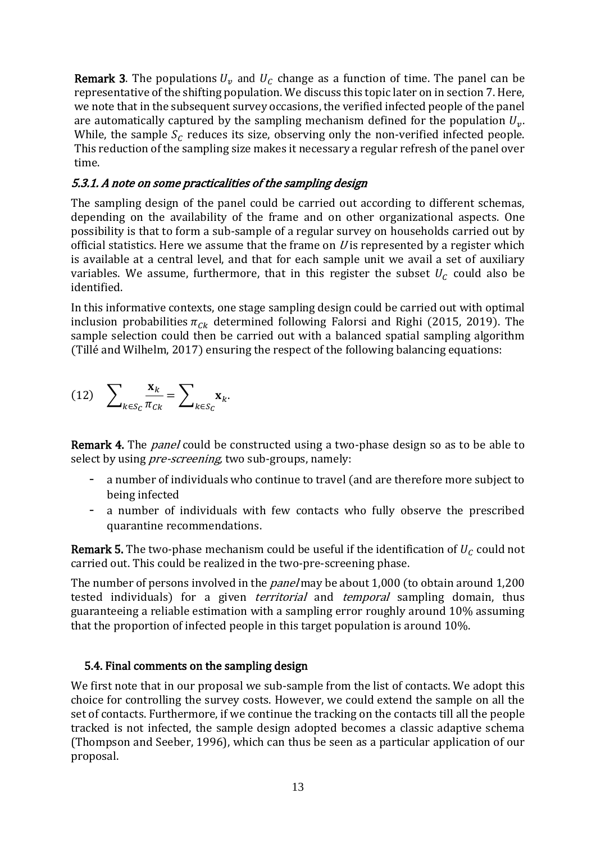**Remark 3.** The populations  $U_v$  and  $U_c$  change as a function of time. The panel can be representative of the shifting population. We discuss this topic later on in section 7. Here, we note that in the subsequent survey occasions, the verified infected people of the panel are automatically captured by the sampling mechanism defined for the population  $U_{\nu}$ . While, the sample  $S_c$  reduces its size, observing only the non-verified infected people. This reduction of the sampling size makes it necessary a regular refresh of the panel over time.

# 5.3.1. A note on some practicalities of the sampling design

The sampling design of the panel could be carried out according to different schemas, depending on the availability of the frame and on other organizational aspects. One possibility is that to form a sub-sample of a regular survey on households carried out by official statistics. Here we assume that the frame on  $U$  is represented by a register which is available at a central level, and that for each sample unit we avail a set of auxiliary variables. We assume, furthermore, that in this register the subset  $U_c$  could also be identified.

In this informative contexts, one stage sampling design could be carried out with optimal inclusion probabilities  $\pi_{Ck}$  determined following Falorsi and Righi (2015, 2019). The sample selection could then be carried out with a balanced spatial sampling algorithm (Tillé and Wilhelm, 2017) ensuring the respect of the following balancing equations:

(12) 
$$
\sum_{k \in S_C} \frac{\mathbf{x}_k}{\pi_{Ck}} = \sum_{k \in S_C} \mathbf{x}_k.
$$

Remark 4. The *panel* could be constructed using a two-phase design so as to be able to select by using *pre-screening*, two sub-groups, namely:

- a number of individuals who continue to travel (and are therefore more subject to being infected
- a number of individuals with few contacts who fully observe the prescribed quarantine recommendations.

**Remark 5.** The two-phase mechanism could be useful if the identification of  $U_c$  could not carried out. This could be realized in the two-pre-screening phase.

The number of persons involved in the *panel* may be about 1,000 (to obtain around 1,200 tested individuals) for a given *territorial* and *temporal* sampling domain, thus guaranteeing a reliable estimation with a sampling error roughly around 10% assuming that the proportion of infected people in this target population is around 10%.

# 5.4. Final comments on the sampling design

We first note that in our proposal we sub-sample from the list of contacts. We adopt this choice for controlling the survey costs. However, we could extend the sample on all the set of contacts. Furthermore, if we continue the tracking on the contacts till all the people tracked is not infected, the sample design adopted becomes a classic adaptive schema (Thompson and Seeber, 1996), which can thus be seen as a particular application of our proposal.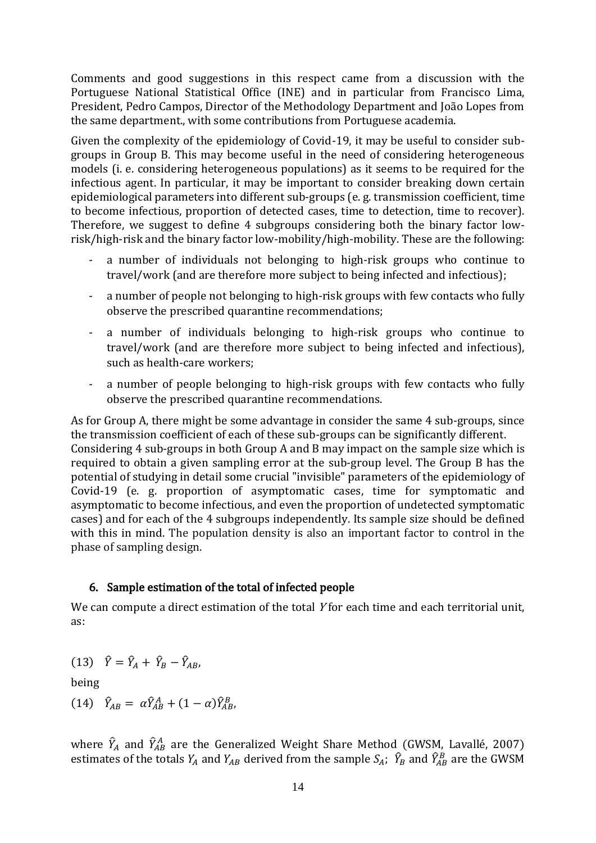Comments and good suggestions in this respect came from a discussion with the Portuguese National Statistical Office (INE) and in particular from Francisco Lima, President, Pedro Campos, Director of the Methodology Department and João Lopes from the same department., with some contributions from Portuguese academia.

Given the complexity of the epidemiology of Covid-19, it may be useful to consider subgroups in Group B. This may become useful in the need of considering heterogeneous models (i. e. considering heterogeneous populations) as it seems to be required for the infectious agent. In particular, it may be important to consider breaking down certain epidemiological parameters into different sub-groups (e. g. transmission coefficient, time to become infectious, proportion of detected cases, time to detection, time to recover). Therefore, we suggest to define 4 subgroups considering both the binary factor lowrisk/high-risk and the binary factor low-mobility/high-mobility. These are the following:

- a number of individuals not belonging to high-risk groups who continue to travel/work (and are therefore more subject to being infected and infectious);
- a number of people not belonging to high-risk groups with few contacts who fully observe the prescribed quarantine recommendations;
- a number of individuals belonging to high-risk groups who continue to travel/work (and are therefore more subject to being infected and infectious), such as health-care workers;
- a number of people belonging to high-risk groups with few contacts who fully observe the prescribed quarantine recommendations.

As for Group A, there might be some advantage in consider the same 4 sub-groups, since the transmission coefficient of each of these sub-groups can be significantly different. Considering 4 sub-groups in both Group A and B may impact on the sample size which is required to obtain a given sampling error at the sub-group level. The Group B has the potential of studying in detail some crucial "invisible" parameters of the epidemiology of Covid-19 (e. g. proportion of asymptomatic cases, time for symptomatic and asymptomatic to become infectious, and even the proportion of undetected symptomatic cases) and for each of the 4 subgroups independently. Its sample size should be defined with this in mind. The population density is also an important factor to control in the phase of sampling design.

# 6. Sample estimation of the total of infected people

We can compute a direct estimation of the total Y for each time and each territorial unit, as:

$$
(13) \quad \hat{Y} = \hat{Y}_A + \hat{Y}_B - \hat{Y}_{AB},
$$

being

$$
(14) \quad \hat{Y}_{AB} = \alpha \hat{Y}_{AB}^A + (1-\alpha)\hat{Y}_{AB}^B,
$$

where  $\hat{Y}_A$  and  $\hat{Y}_{AB}^A$  are the Generalized Weight Share Method (GWSM, Lavallé, 2007) estimates of the totals  $Y_A$  and  $Y_{AB}$  derived from the sample  $S_A$ ;  $\hat{Y}_B$  and  $\hat{Y}_{AB}^B$  are the GWSM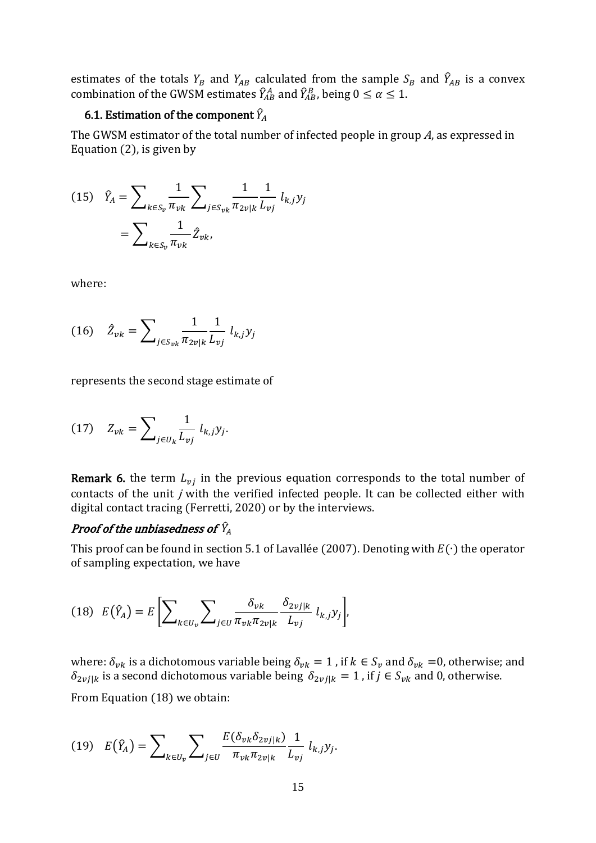estimates of the totals  $Y_B$  and  $Y_{AB}$  calculated from the sample  $S_B$  and  $\widehat{Y}_{AB}$  is a convex combination of the GWSM estimates  $\hat{Y}_{AB}^A$  and  $\hat{Y}_{AB}^B$ , being  $0 \le \alpha \le 1$ .

# 6.1. Estimation of the component  $\widehat{Y}_A$

The GWSM estimator of the total number of infected people in group A, as expressed in Equation (2), is given by

(15) 
$$
\hat{Y}_A = \sum_{k \in S_v} \frac{1}{\pi_{vk}} \sum_{j \in S_{vk}} \frac{1}{\pi_{2v|k}} \frac{1}{L_{vj}} l_{k,j} y_j
$$

$$
= \sum_{k \in S_v} \frac{1}{\pi_{vk}} \hat{Z}_{vk},
$$

where:

(16) 
$$
\hat{Z}_{vk} = \sum_{j \in S_{vk}} \frac{1}{\pi_{2v|k}} \frac{1}{L_{vj}} l_{k,j} y_j
$$

represents the second stage estimate of

$$
(17) \quad Z_{vk} = \sum\nolimits_{j \in U_k} \frac{1}{L_{vj}} l_{k,j} y_j
$$

**Remark 6.** the term  $L_{vi}$  in the previous equation corresponds to the total number of contacts of the unit *j* with the verified infected people. It can be collected either with digital contact tracing (Ferretti, 2020) or by the interviews.

# Proof of the unbiasedness of  $\widehat{Y}_A$

This proof can be found in section 5.1 of Lavallée (2007). Denoting with  $E(\cdot)$  the operator of sampling expectation, we have

$$
(18) \tE(\hat{Y}_A) = E\left[\sum_{k\in U_v}\sum_{j\in U}\frac{\delta_{vk}}{\pi_{vk}\pi_{2v|k}}\frac{\delta_{2vj|k}}{L_{vj}}l_{k,j}y_j\right],
$$

.

where:  $\delta_{vk}$  is a dichotomous variable being  $\delta_{vk} = 1$ , if  $k \in S_v$  and  $\delta_{vk} = 0$ , otherwise; and  $\delta_{2\nu j|k}$  is a second dichotomous variable being  $\delta_{2\nu j|k} = 1$ , if  $j \in S_{\nu k}$  and 0, otherwise.

From Equation (18) we obtain:

(19) 
$$
E(\hat{Y}_A) = \sum_{k \in U_v} \sum_{j \in U} \frac{E(\delta_{vk} \delta_{2vj|k})}{\pi_{vk} \pi_{2v|k}} \frac{1}{L_{vj}} l_{k,j} y_j.
$$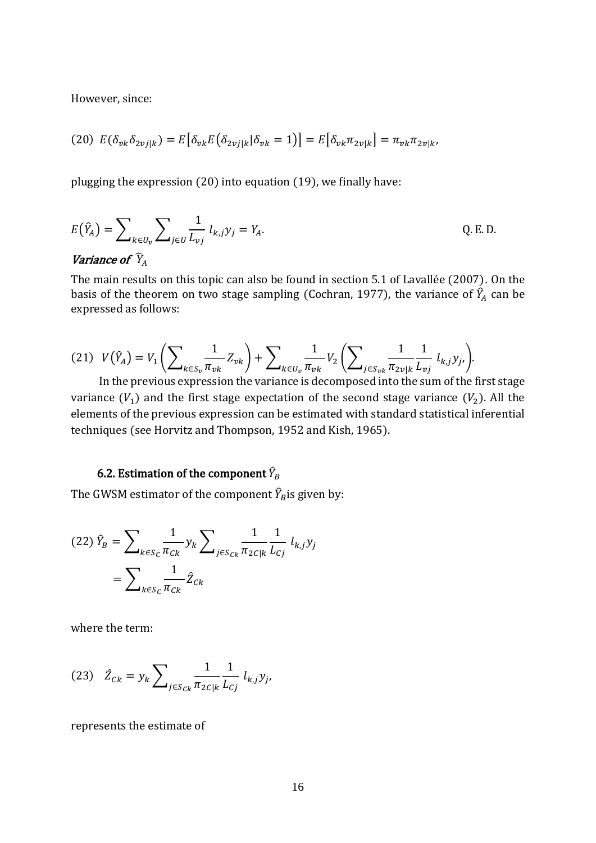However, since:

$$
(20) E(\delta_{vk}\delta_{2vj|k}) = E[\delta_{vk}E(\delta_{2vj|k}|\delta_{vk}=1)] = E[\delta_{vk}\pi_{2v|k}] = \pi_{vk}\pi_{2v|k},
$$

plugging the expression (20) into equation (19), we finally have:

$$
E(\hat{Y}_A) = \sum_{k \in U_v} \sum_{j \in U} \frac{1}{L_{vj}} l_{k,j} y_j = Y_A.
$$
 Q.E.D.

#### Variance of  $\hat{Y}_A$

The main results on this topic can also be found in section 5.1 of Lavallée (2007). On the basis of the theorem on two stage sampling (Cochran, 1977), the variance of  $\hat{Y}_{A}$  can be expressed as follows:

$$
(21) V(\hat{Y}_A) = V_1 \left( \sum_{k \in S_v} \frac{1}{\pi_{vk}} Z_{vk} \right) + \sum_{k \in U_v} \frac{1}{\pi_{vk}} V_2 \left( \sum_{j \in S_{vk}} \frac{1}{\pi_{2v|k}} \frac{1}{L_{vj}} l_{k,j} y_j \right).
$$

In the previous expression the variance is decomposed into the sum of the first stage variance  $(V_1)$  and the first stage expectation of the second stage variance  $(V_2)$ . All the elements of the previous expression can be estimated with standard statistical inferential techniques (see Horvitz and Thompson, 1952 and Kish, 1965).

# 6.2. Estimation of the component  $\hat{Y}_B$

The GWSM estimator of the component  $\widehat{Y}_{B}$ is given by:

(22) 
$$
\hat{Y}_B = \sum_{k \in S_C} \frac{1}{\pi_{Ck}} y_k \sum_{j \in S_{Ck}} \frac{1}{\pi_{2C|k}} \frac{1}{L_{Cj}} l_{k,j} y_j
$$
  
=  $\sum_{k \in S_C} \frac{1}{\pi_{Ck}} \hat{Z}_{Ck}$ 

where the term:

(23) 
$$
\hat{Z}_{Ck} = y_k \sum_{j \in S_{Ck}} \frac{1}{\pi_{2C|k}} \frac{1}{L_{Cj}} l_{k,j} y_j
$$

represents the estimate of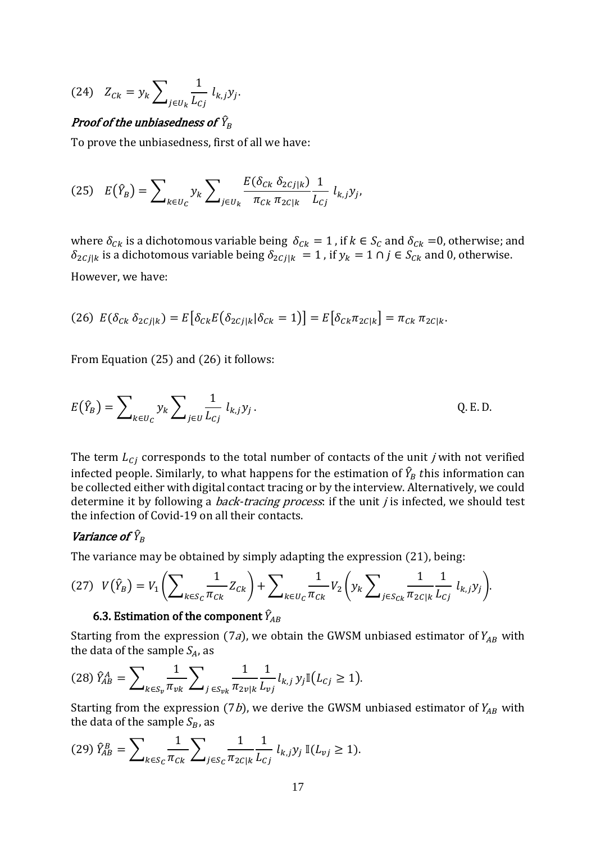(24) 
$$
Z_{Ck} = y_k \sum_{j \in U_k} \frac{1}{L_{Cj}} l_{k,j} y_j.
$$

# Proof of the unbiasedness of  $\widehat{Y}_B$

To prove the unbiasedness, first of all we have:

(25) 
$$
E(\hat{Y}_B) = \sum_{k \in U_C} y_k \sum_{j \in U_k} \frac{E(\delta_{Ck} \delta_{2Cj|k})}{\pi_{Ck} \pi_{2C|k}} \frac{1}{L_{Cj}} l_{k,j} y_j,
$$

where  $\delta_{Ck}$  is a dichotomous variable being  $\delta_{Ck} = 1$ , if  $k \in S_C$  and  $\delta_{Ck} = 0$ , otherwise; and  $\delta_{2Cj|k}$  is a dichotomous variable being  $\delta_{2Cj|k} = 1$ , if  $y_k = 1 \cap j \in S_{Ck}$  and 0, otherwise. However, we have:

(26) 
$$
E(\delta_{Ck} \delta_{2Cj|k}) = E[\delta_{Ck} E(\delta_{2Cj|k} | \delta_{Ck} = 1)] = E[\delta_{Ck} \pi_{2C|k}] = \pi_{Ck} \pi_{2C|k}
$$
.

From Equation (25) and (26) it follows:

$$
E(\hat{Y}_B) = \sum_{k \in U_C} y_k \sum_{j \in U} \frac{1}{L_{Cj}} l_{k,j} y_j.
$$
 Q.E.D.

The term  $L_{ci}$  corresponds to the total number of contacts of the unit *j* with not verified infected people. Similarly, to what happens for the estimation of  $\widehat{Y}_B$   $t$ his information can be collected either with digital contact tracing or by the interview. Alternatively, we could determine it by following a *back-tracing process*: if the unit  $j$  is infected, we should test the infection of Covid-19 on all their contacts.

# Variance of  $\widehat{Y}_B$

The variance may be obtained by simply adapting the expression (21), being:

$$
(27) V(\hat{Y}_B) = V_1 \left( \sum_{k \in S_C} \frac{1}{\pi_{Ck}} Z_{Ck} \right) + \sum_{k \in U_C} \frac{1}{\pi_{Ck}} V_2 \left( y_k \sum_{j \in S_{Ck}} \frac{1}{\pi_{2C|k}} \frac{1}{L_{Cj}} l_{k,j} y_j \right).
$$

# 6.3. Estimation of the component  $\widehat{Y}_{\!AB}$

Starting from the expression (7a), we obtain the GWSM unbiased estimator of  $Y_{AB}$  with the data of the sample  $S_A$ , as

$$
(28)\,\hat{Y}_{AB}^A = \sum\nolimits_{k \in S_v} \frac{1}{\pi_{vk}} \sum\nolimits_{j \in S_{vk}} \frac{1}{\pi_{2v|k}} \frac{1}{L_{vj}} l_{k,j} \, y_j \mathbb{I}\big(L_{Cj} \ge 1\big).
$$

Starting from the expression (7b), we derive the GWSM unbiased estimator of  $Y_{AB}$  with the data of the sample  $S_B$ , as

$$
(29) \ \hat{Y}_{AB}^B = \sum\nolimits_{k \in S_C} \frac{1}{\pi_{Ck}} \sum\nolimits_{j \in S_C} \frac{1}{\pi_{2C|k}} \frac{1}{L_{Cj}} \ l_{k,j} y_j \, \mathbb{I}(L_{vj} \ge 1).
$$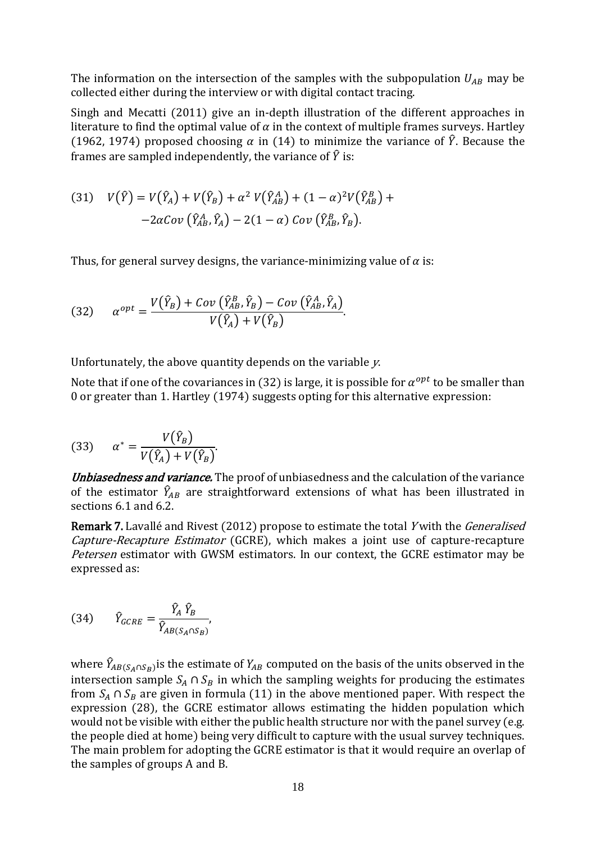The information on the intersection of the samples with the subpopulation  $U_{AB}$  may be collected either during the interview or with digital contact tracing.

Singh and Mecatti (2011) give an in-depth illustration of the different approaches in literature to find the optimal value of  $\alpha$  in the context of multiple frames surveys. Hartley (1962, 1974) proposed choosing  $\alpha$  in (14) to minimize the variance of  $\hat{Y}$ . Because the frames are sampled independently, the variance of  $\hat{Y}$  is:

(31) 
$$
V(\hat{Y}) = V(\hat{Y}_A) + V(\hat{Y}_B) + \alpha^2 V(\hat{Y}_{AB}^A) + (1 - \alpha)^2 V(\hat{Y}_{AB}^B) +
$$

$$
-2\alpha Cov(\hat{Y}_{AB}^A, \hat{Y}_A) - 2(1 - \alpha) Cov(\hat{Y}_{AB}^B, \hat{Y}_B).
$$

Thus, for general survey designs, the variance-minimizing value of  $\alpha$  is:

(32) 
$$
\alpha^{opt} = \frac{V(\hat{Y}_B) + Cov(\hat{Y}_{AB}^B, \hat{Y}_B) - Cov(\hat{Y}_{AB}^A, \hat{Y}_A)}{V(\hat{Y}_A) + V(\hat{Y}_B)}.
$$

Unfortunately, the above quantity depends on the variable y.

Note that if one of the covariances in (32) is large, it is possible for  $\alpha^{opt}$  to be smaller than 0 or greater than 1. Hartley (1974) suggests opting for this alternative expression:

(33) 
$$
\alpha^* = \frac{V(\hat{Y}_B)}{V(\hat{Y}_A) + V(\hat{Y}_B)}.
$$

Unbiasedness and variance. The proof of unbiasedness and the calculation of the variance of the estimator  $\widehat{Y}_{AB}$  are straightforward extensions of what has been illustrated in sections 6.1 and 6.2.

Remark 7. Lavallé and Rivest (2012) propose to estimate the total Y with the *Generalised* Capture-Recapture Estimator (GCRE), which makes a joint use of capture-recapture Petersen estimator with GWSM estimators. In our context, the GCRE estimator may be expressed as:

(34) 
$$
\hat{Y}_{GCRE} = \frac{\hat{Y}_A \hat{Y}_B}{\hat{Y}_{AB(S_A \cap S_B)}},
$$

where  $\hat{Y}_{AB(S_A \cap S_B)}$ is the estimate of  $Y_{AB}$  computed on the basis of the units observed in the intersection sample  $S_A \cap S_B$  in which the sampling weights for producing the estimates from  $S_A \cap S_B$  are given in formula (11) in the above mentioned paper. With respect the expression (28), the GCRE estimator allows estimating the hidden population which would not be visible with either the public health structure nor with the panel survey (e.g. the people died at home) being very difficult to capture with the usual survey techniques. The main problem for adopting the GCRE estimator is that it would require an overlap of the samples of groups A and B.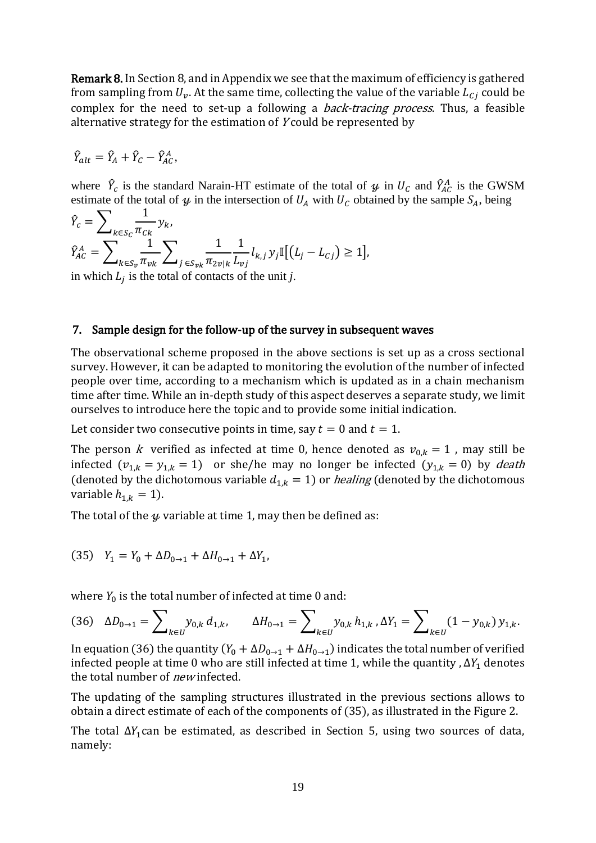Remark 8. In Section 8, and in Appendix we see that the maximum of efficiency is gathered from sampling from  $U_v$ . At the same time, collecting the value of the variable  $L_{ci}$  could be complex for the need to set-up a following a *back-tracing process*. Thus, a feasible alternative strategy for the estimation of <sup>Y</sup> could be represented by

$$
\hat{Y}_{alt} = \hat{Y}_A + \hat{Y}_C - \hat{Y}_{AC}^A,
$$

where  $\hat{Y}_c$  is the standard Narain-HT estimate of the total of  $\psi$  in  $U_c$  and  $\hat{Y}_{AC}^A$  is the GWSM estimate of the total of  $\psi$  in the intersection of  $U_A$  with  $U_C$  obtained by the sample  $S_A$ , being

$$
\hat{Y}_c = \sum_{k \in S_c} \frac{1}{\pi_{Ck}} y_k, \n\hat{Y}_{AC}^A = \sum_{k \in S_v} \frac{1}{\pi_{vk}} \sum_{j \in S_{vk}} \frac{1}{\pi_{2vlk}} \frac{1}{L_{vj}} l_{k,j} y_j \mathbb{I}[(L_j - L_{Cj}) \ge 1],
$$

in which  $L_j$  is the total of contacts of the unit *j*.

#### 7. Sample design for the follow-up of the survey in subsequent waves

The observational scheme proposed in the above sections is set up as a cross sectional survey. However, it can be adapted to monitoring the evolution of the number of infected people over time, according to a mechanism which is updated as in a chain mechanism time after time. While an in-depth study of this aspect deserves a separate study, we limit ourselves to introduce here the topic and to provide some initial indication.

Let consider two consecutive points in time, say  $t = 0$  and  $t = 1$ .

The person k verified as infected at time 0, hence denoted as  $v_{0,k} = 1$ , may still be infected  $(v_{1,k} = y_{1,k} = 1)$  or she/he may no longer be infected  $(y_{1,k} = 0)$  by death (denoted by the dichotomous variable  $d_{1,k} = 1$ ) or *healing* (denoted by the dichotomous variable  $h_{1,k} = 1$ ).

The total of the  $\psi$  variable at time 1, may then be defined as:

(35) 
$$
Y_1 = Y_0 + \Delta D_{0 \to 1} + \Delta H_{0 \to 1} + \Delta Y_1
$$
,

where  $Y_0$  is the total number of infected at time 0 and:

$$
(36) \quad \Delta D_{0\to 1} = \sum_{k \in U} y_{0,k} \, d_{1,k}, \qquad \Delta H_{0\to 1} = \sum_{k \in U} y_{0,k} \, h_{1,k} \, \Box Y_1 = \sum_{k \in U} (1 - y_{0,k}) \, y_{1,k}.
$$

In equation (36) the quantity  $(Y_0 + \Delta D_{0 \to 1} + \Delta H_{0 \to 1})$  indicates the total number of verified infected people at time 0 who are still infected at time 1, while the quantity ,  $\Delta Y_1$  denotes the total number of *new* infected.

The updating of the sampling structures illustrated in the previous sections allows to obtain a direct estimate of each of the components of (35), as illustrated in the Figure 2.

The total  $\Delta Y_1$ can be estimated, as described in Section 5, using two sources of data, namely: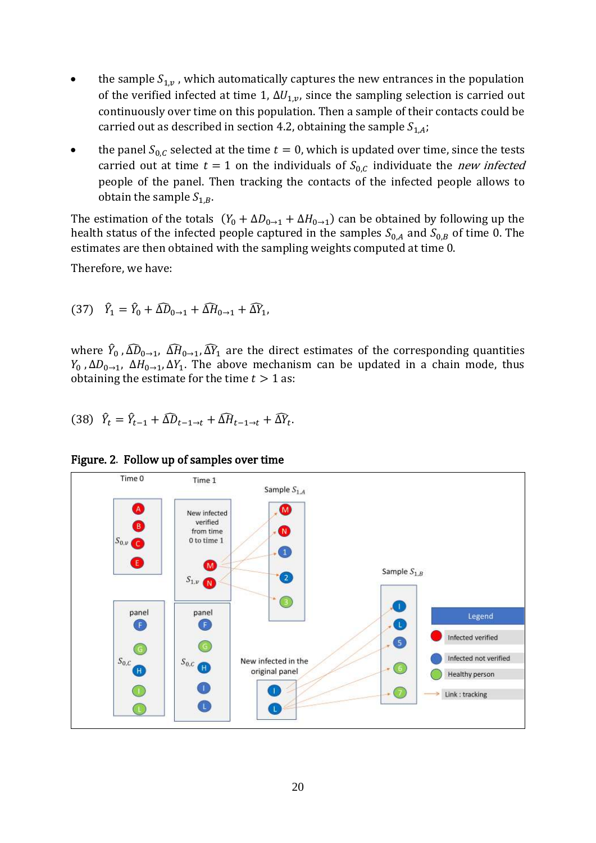- the sample  $S_{1,v}$ , which automatically captures the new entrances in the population of the verified infected at time 1,  $\Delta U_{1,p}$ , since the sampling selection is carried out continuously over time on this population. Then a sample of their contacts could be carried out as described in section 4.2, obtaining the sample  $S_{1,A}$ ;
- the panel  $S_{0,C}$  selected at the time  $t = 0$ , which is updated over time, since the tests carried out at time  $t = 1$  on the individuals of  $S_{0,C}$  individuate the *new infected* people of the panel. Then tracking the contacts of the infected people allows to obtain the sample  $S_{1,B}$ .

The estimation of the totals  $(Y_0 + \Delta D_{0 \to 1} + \Delta H_{0 \to 1})$  can be obtained by following up the health status of the infected people captured in the samples  $S_{0,A}$  and  $S_{0,B}$  of time 0. The estimates are then obtained with the sampling weights computed at time 0.

Therefore, we have:

$$
(37) \quad \hat{Y}_1 = \hat{Y}_0 + \widehat{\Delta D}_{0 \to 1} + \widehat{\Delta H}_{0 \to 1} + \widehat{\Delta Y}_1,
$$

where  $\hat{Y}_0$  ,  $\widehat{\Delta D}_{0\to 1}$ ,  $\widehat{\Delta H}_{0\to 1}$ ,  $\widehat{\Delta Y}_1$  are the direct estimates of the corresponding quantities  $Y_0$ ,  $\Delta D_{0\rightarrow 1}$ ,  $\Delta H_{0\rightarrow 1}$ ,  $\Delta Y_1$ . The above mechanism can be updated in a chain mode, thus obtaining the estimate for the time  $t > 1$  as:

$$
(38) \quad \hat{Y}_t = \hat{Y}_{t-1} + \widehat{\Delta D}_{t-1 \to t} + \widehat{\Delta H}_{t-1 \to t} + \widehat{\Delta Y}_t.
$$

Figure. 2. Follow up of samples over time

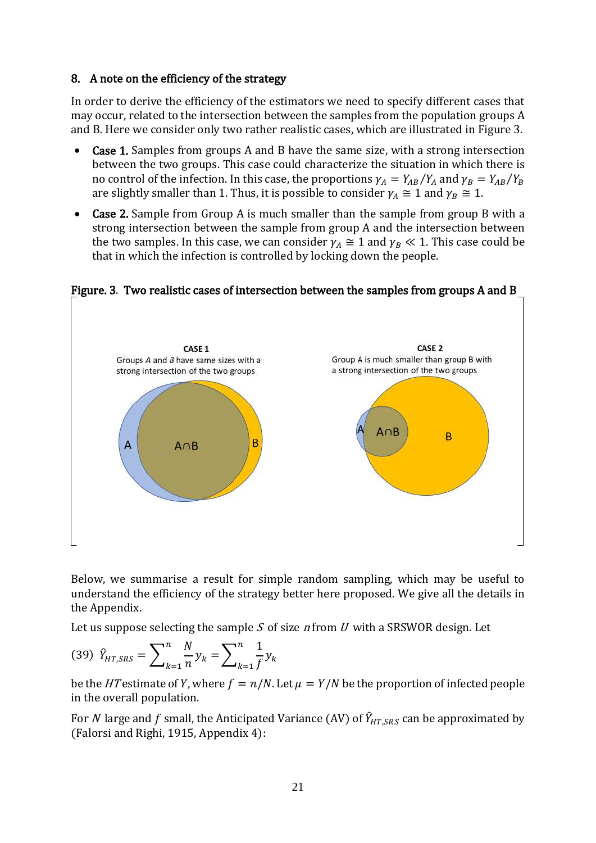#### 8. A note on the efficiency of the strategy

In order to derive the efficiency of the estimators we need to specify different cases that may occur, related to the intersection between the samples from the population groups A and B. Here we consider only two rather realistic cases, which are illustrated in Figure 3.

- Case 1. Samples from groups A and B have the same size, with a strong intersection between the two groups. This case could characterize the situation in which there is no control of the infection. In this case, the proportions  $\gamma_A = Y_{AB}/Y_A$  and  $\gamma_B = Y_{AB}/Y_B$ are slightly smaller than 1. Thus, it is possible to consider  $\gamma_A \cong 1$  and  $\gamma_B \cong 1$ .
- Case 2. Sample from Group A is much smaller than the sample from group B with a strong intersection between the sample from group A and the intersection between the two samples. In this case, we can consider  $\gamma_A \cong 1$  and  $\gamma_B \ll 1$ . This case could be that in which the infection is controlled by locking down the people.



Figure. 3. Two realistic cases of intersection between the samples from groups A and B

Below, we summarise a result for simple random sampling, which may be useful to understand the efficiency of the strategy better here proposed. We give all the details in the Appendix.

Let us suppose selecting the sample  $S$  of size  $n$  from  $U$  with a SRSWOR design. Let

$$
(39) \ \hat{Y}_{HT,SRS} = \sum_{k=1}^{n} \frac{N}{n} y_k = \sum_{k=1}^{n} \frac{1}{f} y_k
$$

be the HT estimate of Y, where  $f = n/N$ . Let  $\mu = Y/N$  be the proportion of infected people in the overall population.

For N large and f small, the Anticipated Variance (AV) of  $\hat{Y}_{HT}$  ses can be approximated by (Falorsi and Righi, 1915, Appendix 4):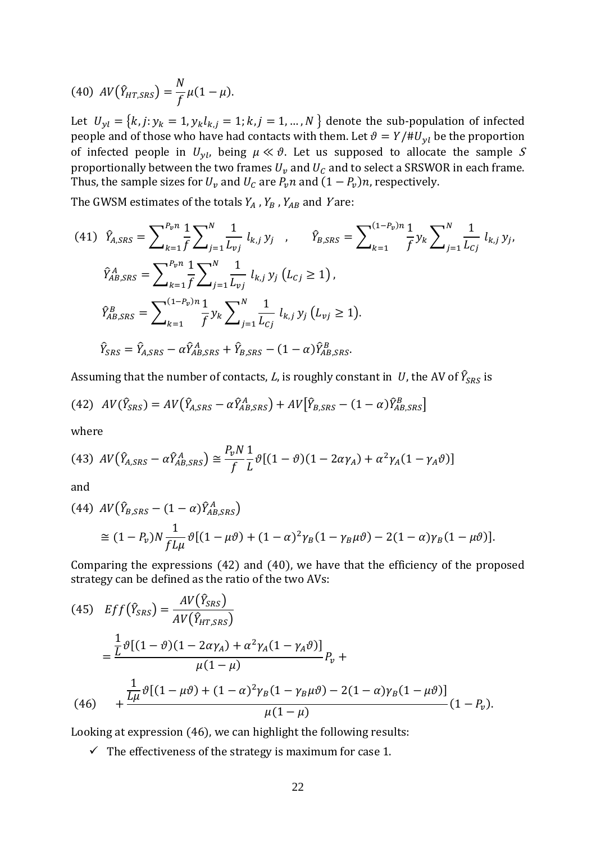(40) 
$$
AV(\hat{Y}_{HT,SRS}) = \frac{N}{f} \mu (1 - \mu).
$$

Let  $U_{yl} = \{k, j: y_k = 1, y_k l_{k,j} = 1; k, j = 1, ..., N\}$  denote the sub-population of infected people and of those who have had contacts with them. Let  $\vartheta = Y/\#U_{yl}$  be the proportion of infected people in  $U_{vl}$ , being  $\mu \ll \vartheta$ . Let us supposed to allocate the sample S proportionally between the two frames  $U_v$  and  $U_c$  and to select a SRSWOR in each frame. Thus, the sample sizes for  $U_{\nu}$  and  $U_{C}$  are  $P_{\nu}n$  and  $(1-P_{\nu})n$ , respectively.

The GWSM estimates of the totals  $Y_A$ ,  $Y_B$ ,  $Y_{AB}$  and Yare:

$$
(41) \quad \hat{Y}_{A,SRS} = \sum_{k=1}^{P_v n} \frac{1}{f} \sum_{j=1}^N \frac{1}{L_{vj}} l_{k,j} y_j \quad , \qquad \hat{Y}_{B,SRS} = \sum_{k=1}^{(1-P_v)n} \frac{1}{f} y_k \sum_{j=1}^N \frac{1}{L_{cj}} l_{k,j} y_j,
$$
\n
$$
\hat{Y}_{AB,SRS}^A = \sum_{k=1}^{P_v n} \frac{1}{f} \sum_{j=1}^N \frac{1}{L_{vj}} l_{k,j} y_j (L_{cj} \ge 1),
$$
\n
$$
\hat{Y}_{AB,SRS}^B = \sum_{k=1}^{(1-P_v)n} \frac{1}{f} y_k \sum_{j=1}^N \frac{1}{L_{cj}} l_{k,j} y_j (L_{vj} \ge 1).
$$
\n
$$
\hat{Y}_{SRS} = \hat{Y}_{A,SRS} - \alpha \hat{Y}_{AB,SRS}^A + \hat{Y}_{B,SRS} - (1 - \alpha) \hat{Y}_{AB,SRS}^B.
$$

Assuming that the number of contacts,  $L$ , is roughly constant in  $\;U$ , the AV of  $\widehat{Y}_{SRS}$  is

(42) 
$$
AV(\hat{Y}_{SRS}) = AV(\hat{Y}_{A,SRS} - \alpha \hat{Y}_{AB,SRS}^A) + AV[\hat{Y}_{B,SRS} - (1 - \alpha) \hat{Y}_{AB,SRS}^B]
$$

where

(43) 
$$
AV(\hat{Y}_{A,SRS} - \alpha \hat{Y}_{AB,SRS}^A) \cong \frac{P_v N}{f} \frac{1}{L} \vartheta [(1-\vartheta)(1-2\alpha \gamma_A) + \alpha^2 \gamma_A (1-\gamma_A \vartheta)]
$$

and

(44) 
$$
AV(\hat{Y}_{B,SRS} - (1 - \alpha)\hat{Y}_{AB,SRS}^{A})
$$
  
\n
$$
\approx (1 - P_v)N \frac{1}{f L \mu} \vartheta [(1 - \mu \vartheta) + (1 - \alpha)^2 \gamma_B (1 - \gamma_B \mu \vartheta) - 2(1 - \alpha) \gamma_B (1 - \mu \vartheta)].
$$

Comparing the expressions (42) and (40), we have that the efficiency of the proposed strategy can be defined as the ratio of the two AVs:

(45) 
$$
Ef f(\hat{Y}_{SRS}) = \frac{AV(\hat{Y}_{SRS})}{AV(\hat{Y}_{HT,SRS})}
$$
  
= 
$$
\frac{\frac{1}{L}\vartheta[(1-\vartheta)(1-2\alpha\gamma_A)+\alpha^2\gamma_A(1-\gamma_A\vartheta)]}{\mu(1-\mu)}P_{\nu} + \frac{\frac{1}{L\mu}\vartheta[(1-\mu\vartheta)+(1-\alpha)^2\gamma_B(1-\gamma_B\mu\vartheta)-2(1-\alpha)\gamma_B(1-\mu\vartheta)]}{\mu(1-\mu)}(1-P_{\nu}).
$$

Looking at expression (46), we can highlight the following results:

 $\checkmark$  The effectiveness of the strategy is maximum for case 1.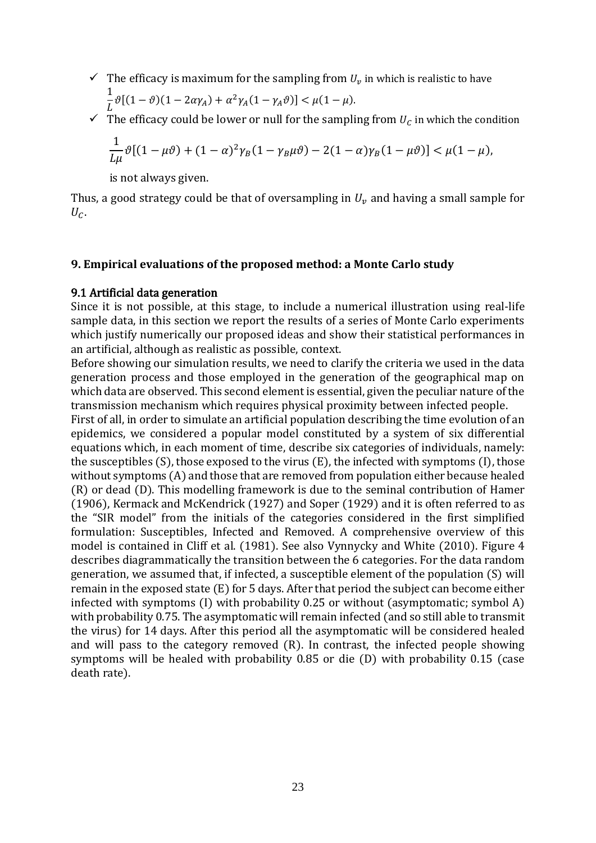- $\checkmark$  The efficacy is maximum for the sampling from  $U_v$  in which is realistic to have 1  $\frac{1}{L}\vartheta[(1-\vartheta)(1-2\alpha\gamma_A)+\alpha^2\gamma_A(1-\gamma_A\vartheta)] < \mu(1-\mu).$
- $\checkmark$  The efficacy could be lower or null for the sampling from  $U_c$  in which the condition

$$
\frac{1}{L\mu}\vartheta[(1-\mu\vartheta)+(1-\alpha)^2\gamma_B(1-\gamma_B\mu\vartheta)-2(1-\alpha)\gamma_B(1-\mu\vartheta)]<\mu(1-\mu),
$$

is not always given.

Thus, a good strategy could be that of oversampling in  $U<sub>v</sub>$  and having a small sample for  $U_{C}$ .

#### **9. Empirical evaluations of the proposed method: a Monte Carlo study**

#### 9.1 Artificial data generation

Since it is not possible, at this stage, to include a numerical illustration using real-life sample data, in this section we report the results of a series of Monte Carlo experiments which justify numerically our proposed ideas and show their statistical performances in an artificial, although as realistic as possible, context.

Before showing our simulation results, we need to clarify the criteria we used in the data generation process and those employed in the generation of the geographical map on which data are observed. This second element is essential, given the peculiar nature of the transmission mechanism which requires physical proximity between infected people.

First of all, in order to simulate an artificial population describing the time evolution of an epidemics, we considered a popular model constituted by a system of six differential equations which, in each moment of time, describe six categories of individuals, namely: the susceptibles (S), those exposed to the virus (E), the infected with symptoms (I), those without symptoms (A) and those that are removed from population either because healed (R) or dead (D). This modelling framework is due to the seminal contribution of Hamer (1906), Kermack and McKendrick (1927) and Soper (1929) and it is often referred to as the "SIR model" from the initials of the categories considered in the first simplified formulation: Susceptibles, Infected and Removed. A comprehensive overview of this model is contained in Cliff et al. (1981). See also Vynnycky and White (2010). Figure 4 describes diagrammatically the transition between the 6 categories. For the data random generation, we assumed that, if infected, a susceptible element of the population (S) will remain in the exposed state (E) for 5 days. After that period the subject can become either infected with symptoms (I) with probability 0.25 or without (asymptomatic; symbol A) with probability 0.75. The asymptomatic will remain infected (and so still able to transmit the virus) for 14 days. After this period all the asymptomatic will be considered healed and will pass to the category removed (R). In contrast, the infected people showing symptoms will be healed with probability 0.85 or die (D) with probability 0.15 (case death rate).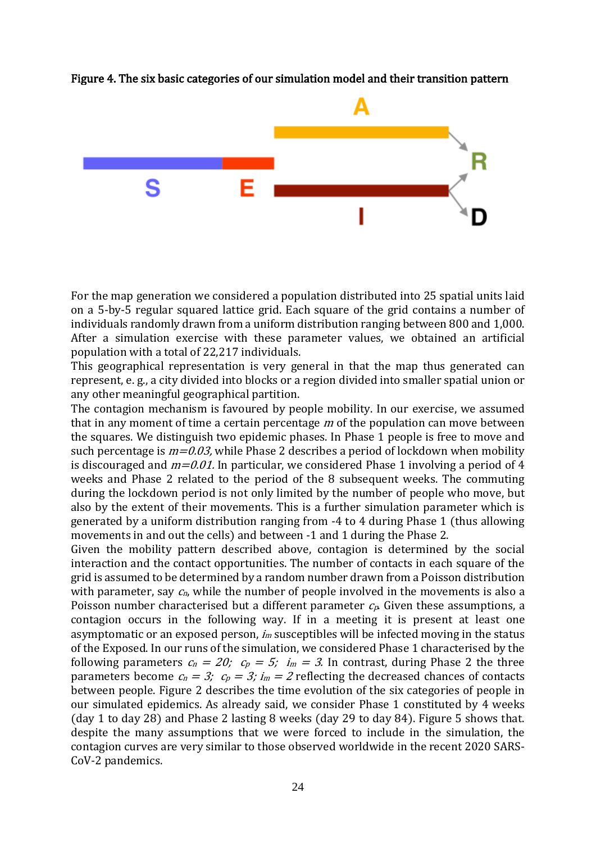

#### Figure 4. The six basic categories of our simulation model and their transition pattern

For the map generation we considered a population distributed into 25 spatial units laid on a 5-by-5 regular squared lattice grid. Each square of the grid contains a number of individuals randomly drawn from a uniform distribution ranging between 800 and 1,000. After a simulation exercise with these parameter values, we obtained an artificial population with a total of 22,217 individuals.

This geographical representation is very general in that the map thus generated can represent, e. g., a city divided into blocks or a region divided into smaller spatial union or any other meaningful geographical partition.

The contagion mechanism is favoured by people mobility. In our exercise, we assumed that in any moment of time a certain percentage  $m$  of the population can move between the squares. We distinguish two epidemic phases. In Phase 1 people is free to move and such percentage is  $m=0.03$ , while Phase 2 describes a period of lockdown when mobility is discouraged and  $m=0.01$ . In particular, we considered Phase 1 involving a period of 4 weeks and Phase 2 related to the period of the 8 subsequent weeks. The commuting during the lockdown period is not only limited by the number of people who move, but also by the extent of their movements. This is a further simulation parameter which is generated by a uniform distribution ranging from -4 to 4 during Phase 1 (thus allowing movements in and out the cells) and between -1 and 1 during the Phase 2.

Given the mobility pattern described above, contagion is determined by the social interaction and the contact opportunities. The number of contacts in each square of the grid is assumed to be determined by a random number drawn from a Poisson distribution with parameter, say  $c_n$ , while the number of people involved in the movements is also a Poisson number characterised but a different parameter  $c_p$ . Given these assumptions, a contagion occurs in the following way. If in a meeting it is present at least one asymptomatic or an exposed person,  $i<sub>m</sub>$  susceptibles will be infected moving in the status of the Exposed. In our runs of the simulation, we considered Phase 1 characterised by the following parameters  $c_n = 20$ ;  $c_p = 5$ ;  $i_m = 3$ . In contrast, during Phase 2 the three parameters become  $c_n = 3$ ;  $c_p = 3$ ;  $i_m = 2$  reflecting the decreased chances of contacts between people. Figure 2 describes the time evolution of the six categories of people in our simulated epidemics. As already said, we consider Phase 1 constituted by 4 weeks (day 1 to day 28) and Phase 2 lasting 8 weeks (day 29 to day 84). Figure 5 shows that. despite the many assumptions that we were forced to include in the simulation, the contagion curves are very similar to those observed worldwide in the recent 2020 SARS-CoV-2 pandemics.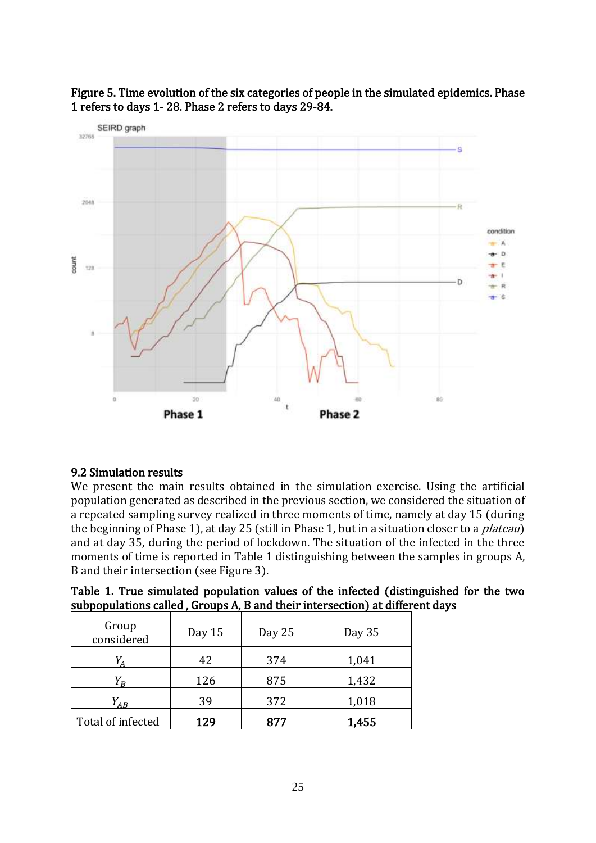

## Figure 5. Time evolution of the six categories of people in the simulated epidemics. Phase 1 refers to days 1- 28. Phase 2 refers to days 29-84.

#### 9.2 Simulation results

We present the main results obtained in the simulation exercise. Using the artificial population generated as described in the previous section, we considered the situation of a repeated sampling survey realized in three moments of time, namely at day 15 (during the beginning of Phase 1), at day 25 (still in Phase 1, but in a situation closer to a *plateau*) and at day 35, during the period of lockdown. The situation of the infected in the three moments of time is reported in Table 1 distinguishing between the samples in groups A, B and their intersection (see Figure 3).

| Group<br>considered | Day 15 | Day 25 | Day 35 |  |
|---------------------|--------|--------|--------|--|
|                     | 42     | 374    | 1,041  |  |
| $V_{\overline{R}}$  | 126    | 875    | 1,432  |  |
| $Y_{AB}$            | 39     | 372    | 1,018  |  |
| Total of infected   | 129    | 877    | 1,455  |  |

Table 1. True simulated population values of the infected (distinguished for the two subpopulations called , Groups A, B and their intersection) at different days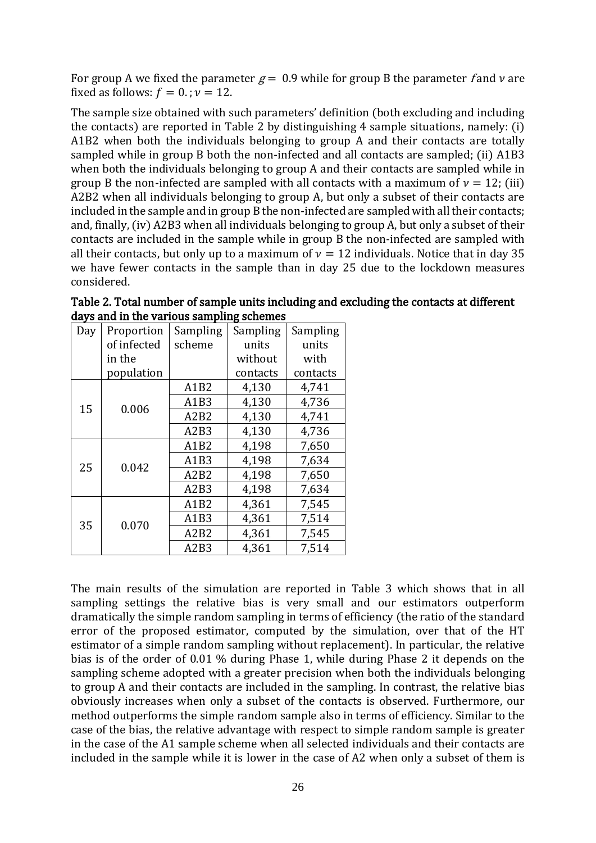For group A we fixed the parameter  $g = 0.9$  while for group B the parameter f and v are fixed as follows:  $f = 0$ .;  $\nu = 12$ .

The sample size obtained with such parameters' definition (both excluding and including the contacts) are reported in Table 2 by distinguishing 4 sample situations, namely: (i) A1B2 when both the individuals belonging to group A and their contacts are totally sampled while in group B both the non-infected and all contacts are sampled; (ii) A1B3 when both the individuals belonging to group A and their contacts are sampled while in group B the non-infected are sampled with all contacts with a maximum of  $v = 12$ ; (iii) A2B2 when all individuals belonging to group A, but only a subset of their contacts are included in the sample and in group B the non-infected are sampled with all their contacts; and, finally, (iv) A2B3 when all individuals belonging to group A, but only a subset of their contacts are included in the sample while in group B the non-infected are sampled with all their contacts, but only up to a maximum of  $v = 12$  individuals. Notice that in day 35 we have fewer contacts in the sample than in day 25 due to the lockdown measures considered.

| Day | Proportion  | Sampling                      | Sampling | Sampling |  |
|-----|-------------|-------------------------------|----------|----------|--|
|     | of infected | scheme                        | units    | units    |  |
|     | in the      |                               | without  | with     |  |
|     | population  |                               | contacts | contacts |  |
| 15  |             | A1B2                          | 4,130    | 4,741    |  |
|     | 0.006       | A1B3                          | 4,130    | 4,736    |  |
|     |             | A2B2                          | 4,130    | 4,741    |  |
|     |             | A <sub>2</sub> B <sub>3</sub> | 4,130    | 4,736    |  |
| 25  | 0.042       | A1B2                          | 4,198    | 7,650    |  |
|     |             | A1B3                          | 4,198    | 7,634    |  |
|     |             | A2B2                          | 4,198    | 7,650    |  |
|     |             | A2B3                          | 4,198    | 7,634    |  |
| 35  |             | A1B2                          | 4,361    | 7,545    |  |
|     | 0.070       | A1B3                          | 4,361    | 7,514    |  |
|     |             | A2B2                          | 4,361    | 7,545    |  |
|     |             | A2B3                          | 4,361    | 7,514    |  |

Table 2. Total number of sample units including and excluding the contacts at different days and in the various sampling schemes

The main results of the simulation are reported in Table 3 which shows that in all sampling settings the relative bias is very small and our estimators outperform dramatically the simple random sampling in terms of efficiency (the ratio of the standard error of the proposed estimator, computed by the simulation, over that of the HT estimator of a simple random sampling without replacement). In particular, the relative bias is of the order of 0.01 % during Phase 1, while during Phase 2 it depends on the sampling scheme adopted with a greater precision when both the individuals belonging to group A and their contacts are included in the sampling. In contrast, the relative bias obviously increases when only a subset of the contacts is observed. Furthermore, our method outperforms the simple random sample also in terms of efficiency. Similar to the case of the bias, the relative advantage with respect to simple random sample is greater in the case of the A1 sample scheme when all selected individuals and their contacts are included in the sample while it is lower in the case of A2 when only a subset of them is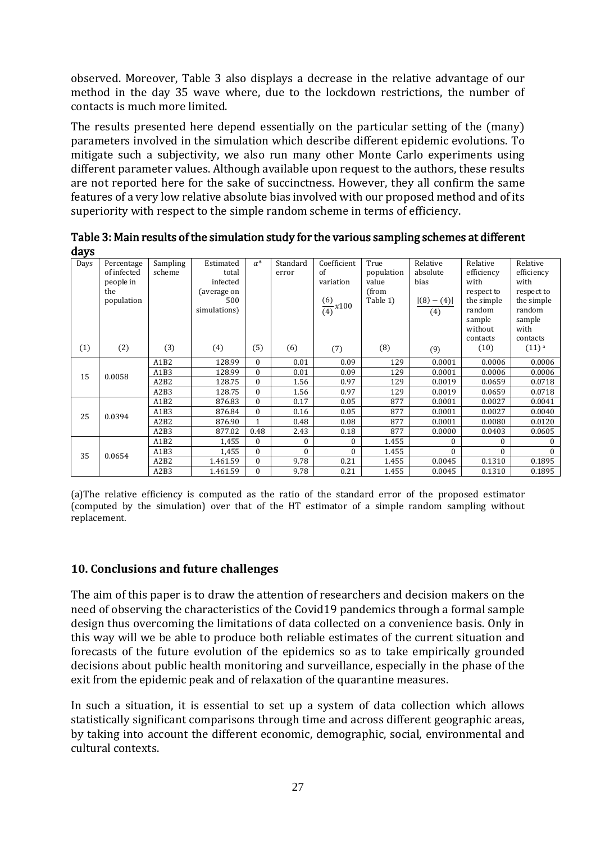observed. Moreover, Table 3 also displays a decrease in the relative advantage of our method in the day 35 wave where, due to the lockdown restrictions, the number of contacts is much more limited.

The results presented here depend essentially on the particular setting of the (many) parameters involved in the simulation which describe different epidemic evolutions. To mitigate such a subjectivity, we also run many other Monte Carlo experiments using different parameter values. Although available upon request to the authors, these results are not reported here for the sake of succinctness. However, they all confirm the same features of a very low relative absolute bias involved with our proposed method and of its superiority with respect to the simple random scheme in terms of efficiency.

| uays |                                                             |                               |                                                                      |              |                   |                                                         |                                                  |                                                      |                                                                                                       |                                                                                                    |
|------|-------------------------------------------------------------|-------------------------------|----------------------------------------------------------------------|--------------|-------------------|---------------------------------------------------------|--------------------------------------------------|------------------------------------------------------|-------------------------------------------------------------------------------------------------------|----------------------------------------------------------------------------------------------------|
| Days | Percentage<br>of infected<br>people in<br>the<br>population | Sampling<br>scheme            | Estimated<br>total<br>infected<br>(average on<br>500<br>simulations) | $\alpha^*$   | Standard<br>error | Coefficient<br>of<br>variation<br>$\frac{(6)}{(4)}x100$ | True<br>population<br>value<br>(from<br>Table 1) | Relative<br>absolute<br>bias<br>$ (8) - (4) $<br>(4) | Relative<br>efficiency<br>with<br>respect to<br>the simple<br>random<br>sample<br>without<br>contacts | Relative<br>efficiency<br>with<br>respect to<br>the simple<br>random<br>sample<br>with<br>contacts |
| (1)  | (2)                                                         | (3)                           | (4)                                                                  | (5)          | (6)               | (7)                                                     | (8)                                              | (9)                                                  | (10)                                                                                                  | $(11)$ <sup>a</sup>                                                                                |
| 15   | 0.0058                                                      | A1B2                          | 128.99                                                               | $\Omega$     | 0.01              | 0.09                                                    | 129                                              | 0.0001                                               | 0.0006                                                                                                | 0.0006                                                                                             |
|      |                                                             | A1B3                          | 128.99                                                               | $\Omega$     | 0.01              | 0.09                                                    | 129                                              | 0.0001                                               | 0.0006                                                                                                | 0.0006                                                                                             |
|      |                                                             | A2B2                          | 128.75                                                               | $\theta$     | 1.56              | 0.97                                                    | 129                                              | 0.0019                                               | 0.0659                                                                                                | 0.0718                                                                                             |
|      |                                                             | A <sub>2</sub> B <sub>3</sub> | 128.75                                                               | $\Omega$     | 1.56              | 0.97                                                    | 129                                              | 0.0019                                               | 0.0659                                                                                                | 0.0718                                                                                             |
| 25   | 0.0394                                                      | A1B2                          | 876.83                                                               | $\theta$     | 0.17              | 0.05                                                    | 877                                              | 0.0001                                               | 0.0027                                                                                                | 0.0041                                                                                             |
|      |                                                             | A1B3                          | 876.84                                                               | $\theta$     | 0.16              | 0.05                                                    | 877                                              | 0.0001                                               | 0.0027                                                                                                | 0.0040                                                                                             |
|      |                                                             | A2B2                          | 876.90                                                               | $\mathbf{1}$ | 0.48              | 0.08                                                    | 877                                              | 0.0001                                               | 0.0080                                                                                                | 0.0120                                                                                             |
|      |                                                             | A2B3                          | 877.02                                                               | 0.48         | 2.43              | 0.18                                                    | 877                                              | 0.0000                                               | 0.0403                                                                                                | 0.0605                                                                                             |
| 35   | 0.0654                                                      | A1B2                          | 1,455                                                                | $\Omega$     | $\bf{0}$          | $\Omega$                                                | 1.455                                            | $\Omega$                                             | $\Omega$                                                                                              | $\bf{0}$                                                                                           |
|      |                                                             | A1B3                          | 1,455                                                                | $\theta$     | $\Omega$          | $\theta$                                                | 1.455                                            | $\Omega$                                             | $\Omega$                                                                                              | $\Omega$                                                                                           |
|      |                                                             | A2B2                          | 1.461.59                                                             | $\theta$     | 9.78              | 0.21                                                    | 1.455                                            | 0.0045                                               | 0.1310                                                                                                | 0.1895                                                                                             |
|      |                                                             | A2B3                          | 1.461.59                                                             | $\Omega$     | 9.78              | 0.21                                                    | 1.455                                            | 0.0045                                               | 0.1310                                                                                                | 0.1895                                                                                             |

Table 3: Main results of the simulation study for the various sampling schemes at different  $\Delta$  and  $\Delta$ 

(a)The relative efficiency is computed as the ratio of the standard error of the proposed estimator (computed by the simulation) over that of the HT estimator of a simple random sampling without replacement.

#### **10. Conclusions and future challenges**

The aim of this paper is to draw the attention of researchers and decision makers on the need of observing the characteristics of the Covid19 pandemics through a formal sample design thus overcoming the limitations of data collected on a convenience basis. Only in this way will we be able to produce both reliable estimates of the current situation and forecasts of the future evolution of the epidemics so as to take empirically grounded decisions about public health monitoring and surveillance, especially in the phase of the exit from the epidemic peak and of relaxation of the quarantine measures.

In such a situation, it is essential to set up a system of data collection which allows statistically significant comparisons through time and across different geographic areas, by taking into account the different economic, demographic, social, environmental and cultural contexts.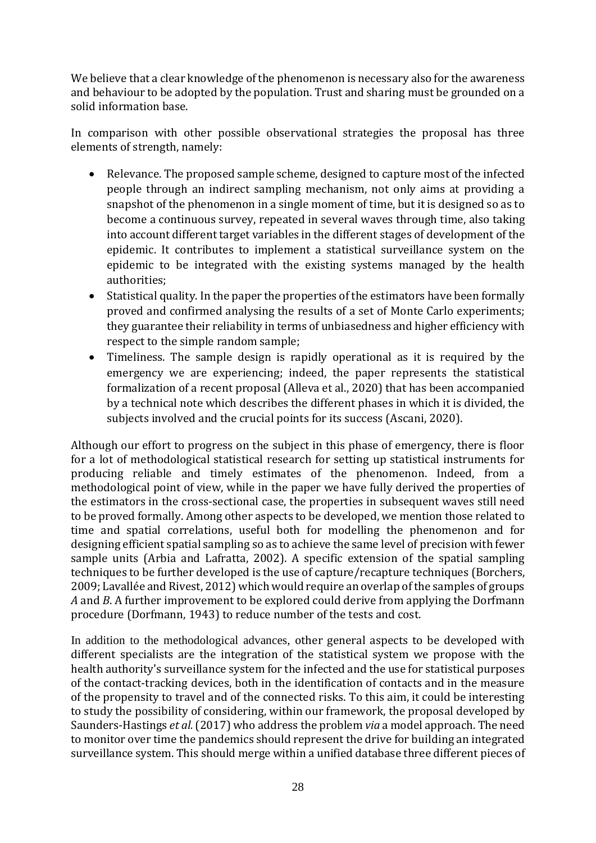We believe that a clear knowledge of the phenomenon is necessary also for the awareness and behaviour to be adopted by the population. Trust and sharing must be grounded on a solid information base.

In comparison with other possible observational strategies the proposal has three elements of strength, namely:

- Relevance. The proposed sample scheme, designed to capture most of the infected people through an indirect sampling mechanism, not only aims at providing a snapshot of the phenomenon in a single moment of time, but it is designed so as to become a continuous survey, repeated in several waves through time, also taking into account different target variables in the different stages of development of the epidemic. It contributes to implement a statistical surveillance system on the epidemic to be integrated with the existing systems managed by the health authorities;
- Statistical quality. In the paper the properties of the estimators have been formally proved and confirmed analysing the results of a set of Monte Carlo experiments; they guarantee their reliability in terms of unbiasedness and higher efficiency with respect to the simple random sample;
- Timeliness. The sample design is rapidly operational as it is required by the emergency we are experiencing; indeed, the paper represents the statistical formalization of a recent proposal (Alleva et al., 2020) that has been accompanied by a technical note which describes the different phases in which it is divided, the subjects involved and the crucial points for its success (Ascani, 2020).

Although our effort to progress on the subject in this phase of emergency, there is floor for a lot of methodological statistical research for setting up statistical instruments for producing reliable and timely estimates of the phenomenon. Indeed, from a methodological point of view, while in the paper we have fully derived the properties of the estimators in the cross-sectional case, the properties in subsequent waves still need to be proved formally. Among other aspects to be developed, we mention those related to time and spatial correlations, useful both for modelling the phenomenon and for designing efficient spatial sampling so as to achieve the same level of precision with fewer sample units (Arbia and Lafratta, 2002). A specific extension of the spatial sampling techniques to be further developed is the use of capture/recapture techniques (Borchers, 2009; Lavallée and Rivest, 2012) which would require an overlap of the samples of groups *A* and *B*. A further improvement to be explored could derive from applying the Dorfmann procedure (Dorfmann, 1943) to reduce number of the tests and cost.

In addition to the methodological advances, other general aspects to be developed with different specialists are the integration of the statistical system we propose with the health authority's surveillance system for the infected and the use for statistical purposes of the contact-tracking devices, both in the identification of contacts and in the measure of the propensity to travel and of the connected risks. To this aim, it could be interesting to study the possibility of considering, within our framework, the proposal developed by Saunders-Hastings *et al.*(2017) who address the problem *via* a model approach. The need to monitor over time the pandemics should represent the drive for building an integrated surveillance system. This should merge within a unified database three different pieces of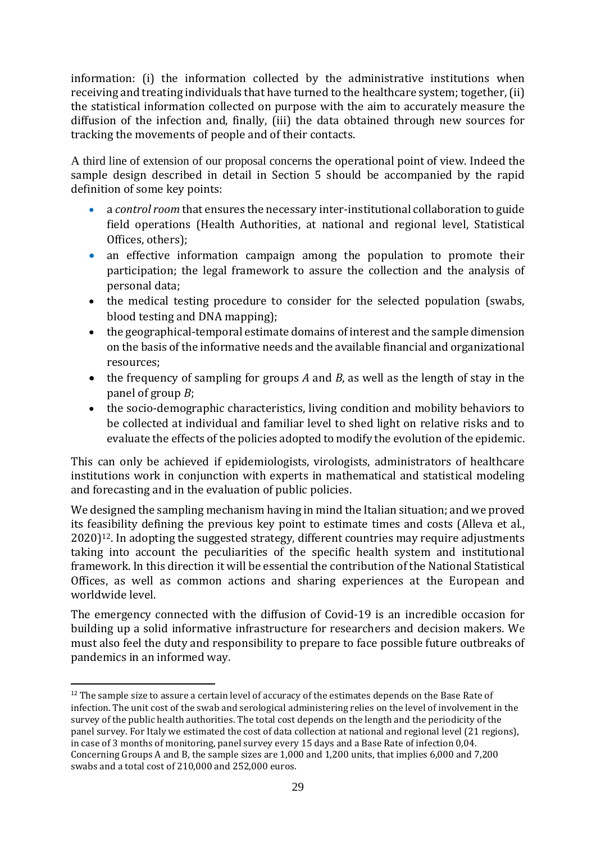information: (i) the information collected by the administrative institutions when receiving and treating individuals that have turned to the healthcare system; together, (ii) the statistical information collected on purpose with the aim to accurately measure the diffusion of the infection and, finally, (iii) the data obtained through new sources for tracking the movements of people and of their contacts.

A third line of extension of our proposal concerns the operational point of view. Indeed the sample design described in detail in Section 5 should be accompanied by the rapid definition of some key points:

- a *control room* that ensures the necessary inter-institutional collaboration to guide field operations (Health Authorities, at national and regional level, Statistical Offices, others);
- an effective information campaign among the population to promote their participation; the legal framework to assure the collection and the analysis of personal data;
- the medical testing procedure to consider for the selected population (swabs, blood testing and DNA mapping);
- the geographical-temporal estimate domains of interest and the sample dimension on the basis of the informative needs and the available financial and organizational resources;
- the frequency of sampling for groups *A* and *B*, as well as the length of stay in the panel of group *B*;
- the socio-demographic characteristics, living condition and mobility behaviors to be collected at individual and familiar level to shed light on relative risks and to evaluate the effects of the policies adopted to modify the evolution of the epidemic.

This can only be achieved if epidemiologists, virologists, administrators of healthcare institutions work in conjunction with experts in mathematical and statistical modeling and forecasting and in the evaluation of public policies.

We designed the sampling mechanism having in mind the Italian situation; and we proved its feasibility defining the previous key point to estimate times and costs (Alleva et al.,  $2020$ <sup>12</sup>. In adopting the suggested strategy, different countries may require adjustments taking into account the peculiarities of the specific health system and institutional framework. In this direction it will be essential the contribution of the National Statistical Offices, as well as common actions and sharing experiences at the European and worldwide level.

The emergency connected with the diffusion of Covid-19 is an incredible occasion for building up a solid informative infrastructure for researchers and decision makers. We must also feel the duty and responsibility to prepare to face possible future outbreaks of pandemics in an informed way.

<sup>&</sup>lt;sup>12</sup> The sample size to assure a certain level of accuracy of the estimates depends on the Base Rate of infection. The unit cost of the swab and serological administering relies on the level of involvement in the survey of the public health authorities. The total cost depends on the length and the periodicity of the panel survey. For Italy we estimated the cost of data collection at national and regional level (21 regions), in case of 3 months of monitoring, panel survey every 15 days and a Base Rate of infection 0,04. Concerning Groups A and B, the sample sizes are 1,000 and 1,200 units, that implies 6,000 and 7,200 swabs and a total cost of 210,000 and 252,000 euros.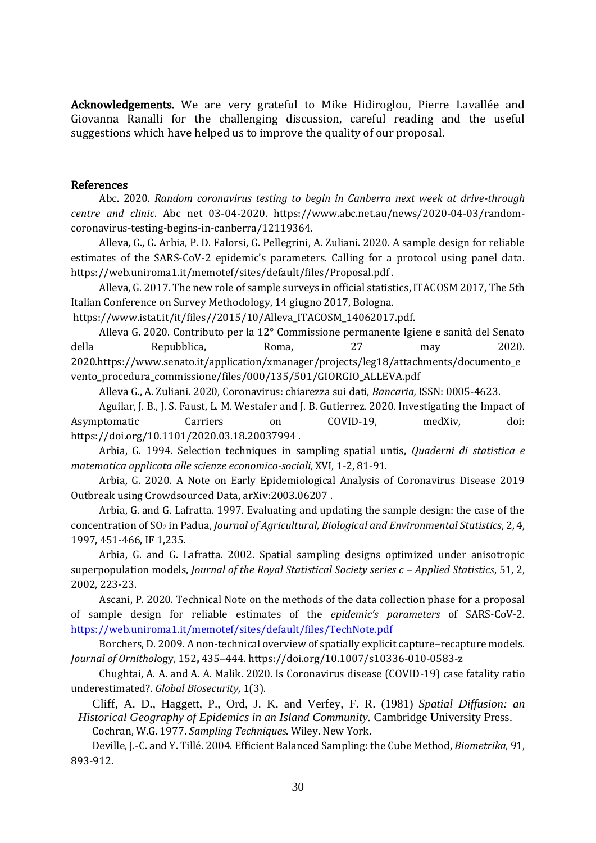Acknowledgements. We are very grateful to Mike Hidiroglou, Pierre Lavallée and Giovanna Ranalli for the challenging discussion, careful reading and the useful suggestions which have helped us to improve the quality of our proposal.

#### References

Abc. 2020. *Random coronavirus testing to begin in Canberra next week at drive-through centre and clinic*. Abc net 03-04-2020. [https://www.abc.net.au/news/2020-04-03/random](https://www.abc.net.au/news/2020-04-03/random-coronavirus-testing-begins-in-canberra/12119364)[coronavirus-testing-begins-in-canberra/12119364.](https://www.abc.net.au/news/2020-04-03/random-coronavirus-testing-begins-in-canberra/12119364)

Alleva, G., G. Arbia, P. D. Falorsi, G. Pellegrini, A. Zuliani. 2020. A sample design for reliable estimates of the SARS-CoV-2 epidemic's parameters. Calling for a protocol using panel data. <https://web.uniroma1.it/memotef/sites/default/files/Proposal.pdf> .

Alleva, G. 2017. The new role of sample surveys in official statistics, ITACOSM 2017, The 5th Italian Conference on Survey Methodology, 14 giugno 2017, Bologna.

https://www.istat.it/it/files//2015/10/Alleva\_ITACOSM\_14062017.pdf.

Alleva G. 2020. Contributo per la 12° Commissione permanente Igiene e sanità del Senato della Repubblica, Roma, 27 may 2020. 2020.https://www.senato.it/application/xmanager/projects/leg18/attachments/documento\_e vento\_procedura\_commissione/files/000/135/501/GIORGIO\_ALLEVA.pdf

Alleva G., A. Zuliani. 2020, Coronavirus: chiarezza sui dati, *Bancaria,* ISSN: 0005-4623.

Aguilar, J. B., J. S. Faust, L. M. Westafer and J. B. Gutierrez. 2020. Investigating the Impact of Asymptomatic Carriers on COVID-19, medXiv, doi: <https://doi.org/10.1101/2020.03.18.20037994> .

Arbia, G. 1994. Selection techniques in sampling spatial untis, *Quaderni di statistica e matematica applicata alle scienze economico-sociali*, XVI, 1-2, 81-91.

Arbia, G. 2020. A Note on Early Epidemiological Analysis of Coronavirus Disease 2019 Outbreak using Crowdsourced Data, [arXiv:2003.06207](https://arxiv.org/abs/2003.06207) .

Arbia, G. and G. Lafratta. 1997. Evaluating and updating the sample design: the case of the concentration of SO<sup>2</sup> in Padua, *Journal of Agricultural, Biological and Environmental Statistics*, 2, 4, 1997, 451-466, IF 1,235.

Arbia, G. and G. Lafratta. 2002. Spatial sampling designs optimized under anisotropic superpopulation models, *Journal of the Royal Statistical Society series c – Applied Statistics*, 51, 2, 2002, 223-23.

Ascani, P. 2020. Technical Note on the methods of the data collection phase for a proposal of sample design for reliable estimates of the *epidemic's parameters* of SARS-CoV-2*.*  <https://web.uniroma1.it/memotef/sites/default/files/TechNote.pdf>

Borchers, D. 2009. A non-technical overview of spatially explicit capture–recapture models. *Journal of Ornithol*ogy, 152**,** 435–444. https://doi.org/10.1007/s10336-010-0583-z

Chughtai, A. A. and A. A. Malik. 2020. Is Coronavirus disease (COVID-19) case fatality ratio underestimated?. *Global Biosecurity*, 1(3).

Cliff, A. D., Haggett, P., Ord, J. K. and Verfey, F. R. (1981) *Spatial Diffusion: an Historical Geography of Epidemics in an Island Community.* Cambridge University Press. Cochran, W.G. 1977. *Sampling Techniques*. Wiley. New York.

Deville, J.-C. and Y. Tillé. 2004. Efficient Balanced Sampling: the Cube Method, *Biometrika*, 91, 893-912.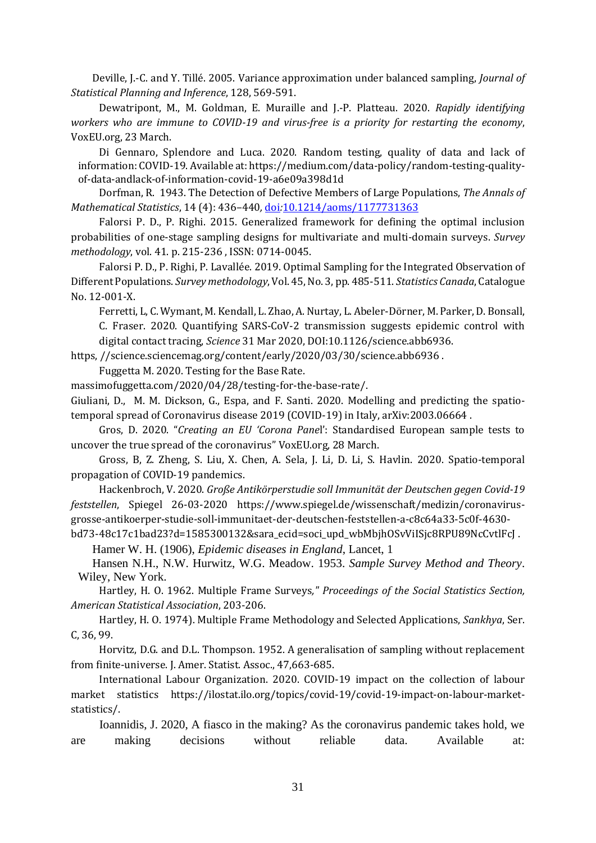Deville, J.-C. and Y. Tillé. 2005. Variance approximation under balanced sampling, *Journal of Statistical Planning and Inference*, 128, 569-591.

Dewatripont, M., M. Goldman, E. Muraille and J.-P. Platteau. 2020. *Rapidly identifying workers who are immune to COVID-19 and virus-free is a priority for restarting the economy*, VoxEU.org, 23 March.

Di Gennaro, Splendore and Luca. 2020. Random testing, quality of data and lack of information: COVID-19. Available at: https://medium.com/data-policy/random-testing-qualityof-data-andlack-of-information-covid-19-a6e09a398d1d

Dorfman, R. 1943. The Detection of Defective Members of Large Populations, *The Annals of Mathematical Statistics*, 14 (4): 436–440*,* [doi](https://en.wikipedia.org/wiki/Doi_(identifier))*:*[10.1214/aoms/1177731363](https://doi.org/10.1214%2Faoms%2F1177731363)

Falorsi P. D., P. Righi. 2015. Generalized framework for defining the optimal inclusion probabilities of one-stage sampling designs for multivariate and multi-domain surveys. *Survey methodology*, vol. 41. p. 215-236 , ISSN: 0714-0045.

Falorsi P. D., P. Righi, P. Lavallée. 2019. Optimal Sampling for the Integrated Observation of Different Populations. *Survey methodology*, Vol. 45, No. 3, pp. 485-511. *Statistics Canada*, Catalogue No. 12-001-X.

Ferretti, L, C. Wymant, M. Kendall, L. Zhao, A. Nurtay, L. Abeler-Dörner, M. Parker, D. Bonsall, C. Fraser. 2020. Quantifying SARS-CoV-2 transmission suggests epidemic control with digital contact tracing, *Science* 31 Mar 2020, DOI:10.1126/science.abb6936.

https, //science.sciencemag.org/content/early/2020/03/30/science.abb6936 .

Fuggetta M. 2020. Testing for the Base Rate.

massimofuggetta.com/2020/04/28/testing-for-the-base-rate/.

Giuliani, D., [M. M. Dickson,](https://arxiv.org/search/stat?searchtype=author&query=Dickson%2C+M+M) G., [Espa,](https://arxiv.org/search/stat?searchtype=author&query=Espa%2C+G) and F. [Santi.](https://arxiv.org/search/stat?searchtype=author&query=Santi%2C+F) 2020. Modelling and predicting the spatiotemporal spread of Coronavirus disease 2019 (COVID-19) in Italy, arXiv:2003.06664 .

Gros, D. 2020. "*Creating an EU 'Corona Pane*l': Standardised European sample tests to uncover the true spread of the coronavirus" VoxEU.org, 28 March.

Gross, B, Z. Zheng, S. Liu, X. Chen, A. Sela, J. Li, D. Li, S. Havlin. 2020. Spatio-temporal propagation of COVID-19 pandemics.

Hackenbroch, V. 2020. *Große Antikörperstudie soll Immunität der Deutschen gegen Covid-19 feststellen*, Spiegel 26-03-2020 [https://www.spiegel.de/wissenschaft/medizin/coronavirus](https://www.spiegel.de/wissenschaft/medizin/coronavirus-grosse-antikoerper-studie-soll-immunitaet-der-deutschen-feststellen-a-c8c64a33-5c0f-4630-bd73-48c17c1bad23?d=1585300132&sara_ecid=soci_upd_wbMbjhOSvViISjc8RPU89NcCvtlFcJ)[grosse-antikoerper-studie-soll-immunitaet-der-deutschen-feststellen-a-c8c64a33-5c0f-4630-](https://www.spiegel.de/wissenschaft/medizin/coronavirus-grosse-antikoerper-studie-soll-immunitaet-der-deutschen-feststellen-a-c8c64a33-5c0f-4630-bd73-48c17c1bad23?d=1585300132&sara_ecid=soci_upd_wbMbjhOSvViISjc8RPU89NcCvtlFcJ)

[bd73-48c17c1bad23?d=1585300132&sara\\_ecid=soci\\_upd\\_wbMbjhOSvViISjc8RPU89NcCvtlFcJ](https://www.spiegel.de/wissenschaft/medizin/coronavirus-grosse-antikoerper-studie-soll-immunitaet-der-deutschen-feststellen-a-c8c64a33-5c0f-4630-bd73-48c17c1bad23?d=1585300132&sara_ecid=soci_upd_wbMbjhOSvViISjc8RPU89NcCvtlFcJ) .

Hamer W. H. (1906), *Epidemic diseases in England*, Lancet, 1

Hansen N.H., N.W. Hurwitz, W.G. Meadow. 1953. *Sample Survey Method and Theory*. Wiley, New York.

Hartley, H. O. 1962. Multiple Frame Surveys*," Proceedings of the Social Statistics Section, American Statistical Association*, 203-206.

Hartley, H. O. 1974). Multiple Frame Methodology and Selected Applications, *Sankhya*, Ser. C, 36, 99.

Horvitz, D.G. and D.L. Thompson. 1952. A generalisation of sampling without replacement from finite-universe. J. Amer. Statist. Assoc., 47,663-685.

International Labour Organization. 2020. COVID-19 impact on the collection of labour market statistics [https://ilostat.ilo.org/topics/covid-19/covid-19-impact-on-labour-market](https://ilostat.ilo.org/topics/covid-19/covid-19-impact-on-labour-market-statistics/)[statistics/.](https://ilostat.ilo.org/topics/covid-19/covid-19-impact-on-labour-market-statistics/)

Ioannidis, J. 2020, A fiasco in the making? As the coronavirus pandemic takes hold, we are making decisions without reliable data. Available at: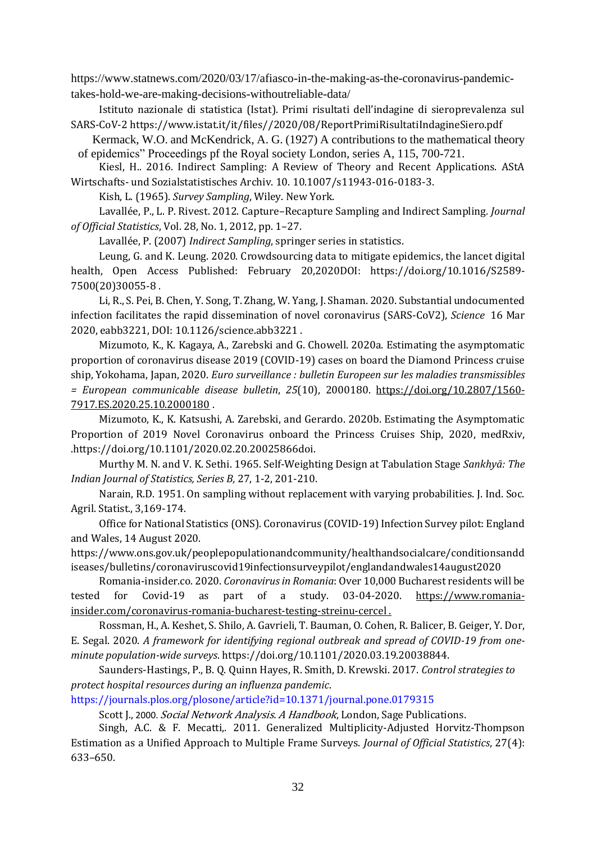https://www.statnews.com/2020/03/17/afiasco-in-the-making-as-the-coronavirus-pandemic-

takes-hold-we-are-making-decisions-withoutreliable-data/

Istituto nazionale di statistica (Istat). Primi risultati dell'indagine di sieroprevalenza sul SARS-CoV-2 [https://www.istat.it/it/files//2020/08/ReportPrimiRisultatiIndagineSiero.pdf](https://www.istat.it/it/files/2020/08/ReportPrimiRisultatiIndagineSiero.pdf)

Kermack, W.O. and McKendrick, A. G. (1927) A contributions to the mathematical theory of epidemics" Proceedings pf the Royal society London, series A, 115, 700-721.

Kiesl, H.. 2016. Indirect Sampling: A Review of Theory and Recent Applications. AStA Wirtschafts- und Sozialstatistisches Archiv. 10. 10.1007/s11943-016-0183-3.

Kish, L. (1965). *Survey Sampling*, Wiley. New York.

Lavallée, P., L. P. Rivest. 2012. Capture–Recapture Sampling and Indirect Sampling*. Journal of Official Statistics*, Vol. 28, No. 1, 2012, pp. 1–27.

Lavallée, P. (2007) *Indirect Sampling*, springer series in statistics.

Leung, G. and K. Leung. 2020. Crowdsourcing data to mitigate epidemics, the lancet digital health, Open Access Published: February 20,2020DOI: [https://doi.org/10.1016/S2589-](https://doi.org/10.1016/S2589-7500(20)30055-8) [7500\(20\)30055-8](https://doi.org/10.1016/S2589-7500(20)30055-8) .

Li, R., S. Pei, B. Chen, Y. Song, T. Zhang, W. Yang, J. Shaman. 2020. Substantial undocumented infection facilitates the rapid dissemination of novel coronavirus (SARS-CoV2), *Science* 16 Mar 2020, eabb3221, DOI: 10.1126/science.abb3221 .

Mizumoto, K., K. Kagaya, A., Zarebski and G. Chowell. 2020a. Estimating the asymptomatic proportion of coronavirus disease 2019 (COVID-19) cases on board the Diamond Princess cruise ship, Yokohama, Japan, 2020. *Euro surveillance : bulletin Europeen sur les maladies transmissibles = European communicable disease bulletin*, *25*(10), 2000180. [https://doi.org/10.2807/1560-](https://doi.org/10.2807/1560-7917.ES.2020.25.10.2000180) [7917.ES.2020.25.10.2000180](https://doi.org/10.2807/1560-7917.ES.2020.25.10.2000180) .

Mizumoto, K., K. Katsushi, A. Zarebski, and Gerardo. 2020b. Estimating the Asymptomatic Proportion of 2019 Novel Coronavirus onboard the Princess Cruises Ship, 2020, medRxiv, .https://doi.org/10.1101/2020.02.20.20025866doi.

Murthy M. N. and V. K. Sethi. 1965. Self-Weighting Design at Tabulation Stage *Sankhyā: The Indian Journal of Statistics, Series B,* 27, 1-2, 201-210.

Narain, R.D. 1951. On sampling without replacement with varying probabilities. J. Ind. Soc. Agril. Statist., 3,169-174.

Office for National Statistics (ONS). Coronavirus (COVID-19) Infection Survey pilot: England and Wales, 14 August 2020.

[https://www.ons.gov.uk/peoplepopulationandcommunity/healthandsocialcare/conditionsandd](https://www.ons.gov.uk/peoplepopulationandcommunity/healthandsocialcare/conditionsanddiseases/bulletins/coronaviruscovid19infectionsurveypilot/englandandwales14august2020) [iseases/bulletins/coronaviruscovid19infectionsurveypilot/englandandwales14august2020](https://www.ons.gov.uk/peoplepopulationandcommunity/healthandsocialcare/conditionsanddiseases/bulletins/coronaviruscovid19infectionsurveypilot/englandandwales14august2020)

Romania-insider.co. 2020. *Coronavirus in Romania*: Over 10,000 Bucharest residents will be tested for Covid-19 as part of a study. 03-04-2020. [https://www.romania](https://www.romania-insider.com/coronavirus-romania-bucharest-testing-streinu-cercel)[insider.com/coronavirus-romania-bucharest-testing-streinu-cercel](https://www.romania-insider.com/coronavirus-romania-bucharest-testing-streinu-cercel) .

Rossman, H., A. Keshet, S. Shilo, A. Gavrieli, T. Bauman, O. Cohen, R. Balicer, B. Geiger, Y. Dor, E. Segal. 2020. *A framework for identifying regional outbreak and spread of COVID-19 from oneminute population-wide surveys*. https://doi.org/10.1101/2020.03.19.20038844.

Saunders-Hastings, P., B. Q. Quinn Hayes, R. Smith, D. Krewski. 2017. *Control strategies to protect hospital resources during an influenza pandemic*.

<https://journals.plos.org/plosone/article?id=10.1371/journal.pone.0179315>

Scott J., 2000. Social Network Analysis. A Handbook, London, Sage Publications.

Singh, A.C. & F. Mecatti,. 2011. Generalized Multiplicity-Adjusted Horvitz-Thompson Estimation as a Unified Approach to Multiple Frame Surveys. *Journal of Official Statistics*, 27(4): 633–650.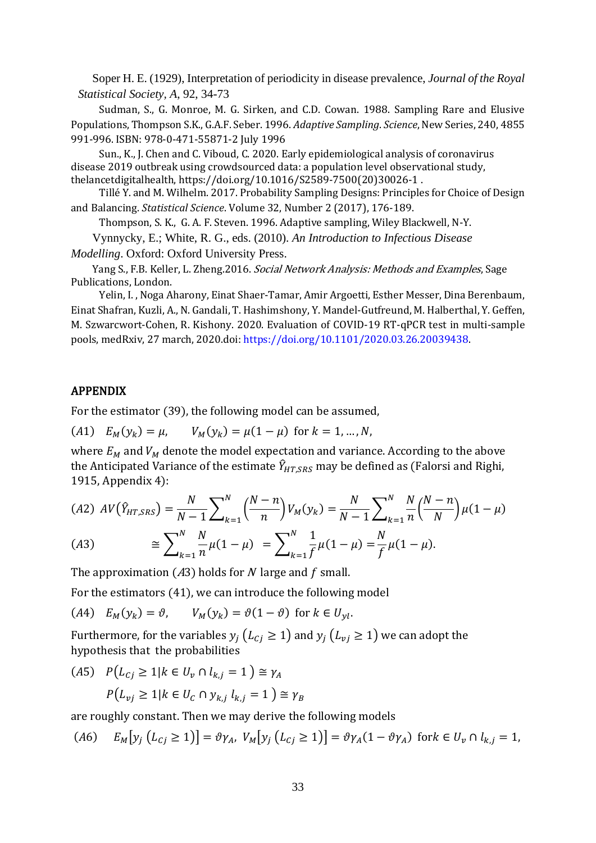Soper H. E. (1929), Interpretation of periodicity in disease prevalence, *Journal of the Royal Statistical Society, A*, 92, 34-73

Sudman, S., G. Monroe, M. G. Sirken, and C.D. Cowan. 1988. Sampling Rare and Elusive Populations, Thompson S.K., G.A.F. Seber. 1996. *Adaptive Sampling*. *Science*, New Series, 240, 4855 991-996. ISBN: 978-0-471-55871-2 July 1996

Sun., K., J. Chen and C. Viboud, C. 2020. Early epidemiological analysis of coronavirus disease 2019 outbreak using crowdsourced data: a population level observational study, thelancetdigitalhealth[, https://doi.org/10.1016/S2589-7500\(20\)30026-1](https://doi.org/10.1016/S2589-7500(20)30026-1) .

Tillé Y. and M. Wilhelm. 2017. Probability Sampling Designs: Principles for Choice of Design and Balancing. *Statistical Science*. Volume 32, Number 2 (2017), 176-189.

Thompson, S. K., G. A. F. Steven. 1996. Adaptive sampling, Wiley Blackwell, N-Y.

Vynnycky, E.; White, R. G., eds. (2010). *An Introduction to Infectious Disease* 

*Modelling*. Oxford: Oxford University Press.

Yang S., F.B. Keller, L. Zheng.2016. Social Network Analysis: Methods and Examples, Sage Publications, London.

Yelin, I. , Noga Aharony, Einat Shaer-Tamar, Amir Argoetti, Esther Messer, Dina Berenbaum, Einat Shafran, Kuzli, A., N. Gandali, T. Hashimshony, Y. Mandel-Gutfreund, M. Halberthal, Y. Geffen, M. Szwarcwort-Cohen, R. Kishony. 2020. Evaluation of COVID-19 RT-qPCR test in multi-sample pools, medRxiv, 27 march, 2020.doi[: https://doi.org/10.1101/2020.03.26.20039438.](https://doi.org/10.1101/2020.03.26.20039438)

#### APPENDIX

For the estimator (39), the following model can be assumed,

(A1)  $E_M(y_k) = \mu$ ,  $V_M(y_k) = \mu(1 - \mu)$  for  $k = 1, ..., N$ ,

where  $E_M$  and  $V_M$  denote the model expectation and variance. According to the above the Anticipated Variance of the estimate  $\hat{Y}_{HT,SRS}$  may be defined as (Falorsi and Righi, 1915, Appendix 4):

$$
(A2) \quad AV(\hat{Y}_{HT,SRS}) = \frac{N}{N-1} \sum_{k=1}^{N} \left(\frac{N-n}{n}\right) V_M(y_k) = \frac{N}{N-1} \sum_{k=1}^{N} \frac{N}{n} \left(\frac{N-n}{N}\right) \mu(1-\mu)
$$
\n
$$
(A3) \qquad \cong \sum_{k=1}^{N} \frac{N}{n} \mu(1-\mu) = \sum_{k=1}^{N} \frac{1}{f} \mu(1-\mu) = \frac{N}{f} \mu(1-\mu).
$$

The approximation (A3) holds for N large and f small.

For the estimators (41), we can introduce the following model

(A4)  $E_M(y_k) = \vartheta$ ,  $V_M(y_k) = \vartheta(1 - \vartheta)$  for  $k \in U_{yl}$ .

Furthermore, for the variables  $y_i (L_{C_i} \geq 1)$  and  $y_i (L_{vi} \geq 1)$  we can adopt the hypothesis that the probabilities

$$
(A5) \quad P(L_{Cj} \ge 1 | k \in U_v \cap l_{k,j} = 1) \cong \gamma_A
$$
\n
$$
P(L_{vj} \ge 1 | k \in U_c \cap y_{k,j} l_{k,j} = 1) \cong \gamma_B
$$

are roughly constant. Then we may derive the following models

$$
(A6) \quad E_M[y_j (L_{Cj} \ge 1)] = \vartheta \gamma_A, \ V_M[y_j (L_{Cj} \ge 1)] = \vartheta \gamma_A (1 - \vartheta \gamma_A) \text{ for } k \in U_v \cap l_{k,j} = 1,
$$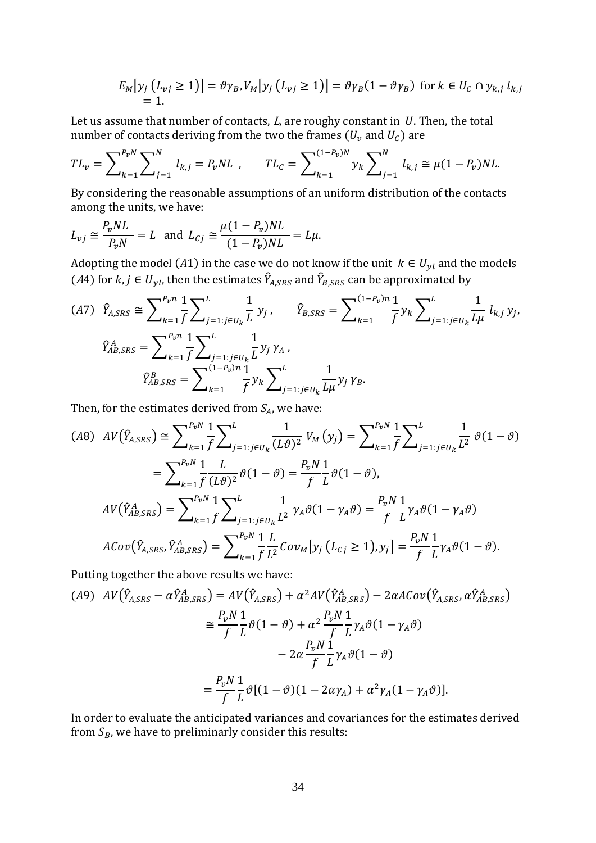$$
E_M[y_j (L_{vj} \ge 1)] = \vartheta \gamma_B, V_M[y_j (L_{vj} \ge 1)] = \vartheta \gamma_B (1 - \vartheta \gamma_B) \text{ for } k \in U_C \cap y_{k,j} l_{k,j}
$$
  
= 1.

Let us assume that number of contacts,  $L$ , are roughy constant in  $U$ . Then, the total number of contacts deriving from the two the frames ( $U_v$  and  $U_c$ ) are

$$
TL_v = \sum\nolimits_{k=1}^{P_v N} \sum\nolimits_{j=1}^N l_{k,j} = P_v NL \t, \t TL_c = \sum\nolimits_{k=1}^{(1-P_v)N} y_k \sum\nolimits_{j=1}^N l_{k,j} \cong \mu(1-P_v)NL.
$$

By considering the reasonable assumptions of an uniform distribution of the contacts among the units, we have:

$$
L_{vj} \cong \frac{P_v NL}{P_v N} = L \text{ and } L_{cj} \cong \frac{\mu (1 - P_v) NL}{(1 - P_v) NL} = L\mu.
$$

Adopting the model (A1) in the case we do not know if the unit  $k \in U_{yl}$  and the models (A4) for  $k, j \in U_{yl}$ , then the estimates  $\hat{Y}_{A, SRS}$  and  $\hat{Y}_{B, SRS}$  can be approximated by

$$
(A7) \quad \hat{Y}_{A,SRS} \cong \sum_{k=1}^{P_{v}n} \frac{1}{f} \sum_{j=1:j\in U_{k}}^{L} \frac{1}{L} y_{j}, \qquad \hat{Y}_{B,SRS} = \sum_{k=1}^{(1-P_{v})n} \frac{1}{f} y_{k} \sum_{j=1:j\in U_{k}}^{L} \frac{1}{L\mu} l_{k,j} y_{j},
$$
\n
$$
\hat{Y}_{AB,SRS}^{A} = \sum_{k=1}^{P_{v}n} \frac{1}{f} \sum_{j=1:j\in U_{k}}^{L} \frac{1}{L} y_{j} \gamma_{A},
$$
\n
$$
\hat{Y}_{AB,SRS}^{B} = \sum_{k=1}^{(1-P_{v})n} \frac{1}{f} y_{k} \sum_{j=1:j\in U_{k}}^{L} \frac{1}{L\mu} y_{j} \gamma_{B}.
$$

Then, for the estimates derived from  $S_A$ , we have:

$$
(A8) \quad AV(\hat{Y}_{A,SRS}) \cong \sum_{k=1}^{P_{v}N} \frac{1}{f} \sum_{j=1:j\in U_{k}}^{L} \frac{1}{(L\vartheta)^{2}} \, V_{M}\left(y_{j}\right) = \sum_{k=1}^{P_{v}N} \frac{1}{f} \sum_{j=1:j\in U_{k}}^{L} \frac{1}{L^{2}} \, \vartheta(1-\vartheta)
$$
\n
$$
= \sum_{k=1}^{P_{v}N} \frac{1}{f} \frac{L}{(L\vartheta)^{2}} \vartheta(1-\vartheta) = \frac{P_{v}N}{f} \frac{1}{L} \vartheta(1-\vartheta),
$$
\n
$$
AV(\hat{Y}_{AB,SRS}^{A}) = \sum_{k=1}^{P_{v}N} \frac{1}{f} \sum_{j=1:j\in U_{k}}^{L} \frac{1}{L^{2}} \, \gamma_{A}\vartheta(1-\gamma_{A}\vartheta) = \frac{P_{v}N}{f} \frac{1}{L} \gamma_{A}\vartheta(1-\gamma_{A}\vartheta)
$$
\n
$$
ACov(\hat{Y}_{A,SRS}, \hat{Y}_{AB,SRS}^{A}) = \sum_{k=1}^{P_{v}N} \frac{1}{f} \frac{L}{L^{2}} Cov_{M}\left[y_{j}\left(L_{Cj} \ge 1\right), y_{j}\right] = \frac{P_{v}N}{f} \frac{1}{L} \gamma_{A}\vartheta(1-\vartheta).
$$

Putting together the above results we have:

$$
(A9) \quad AV(\hat{Y}_{A,SRS} - \alpha \hat{Y}_{AB,SRS}^A) = AV(\hat{Y}_{A,SRS}) + \alpha^2 AV(\hat{Y}_{AB,SRS}^A) - 2\alpha A Cov(\hat{Y}_{A,SRS}, \alpha \hat{Y}_{AB,SRS}^A)
$$

$$
\approx \frac{P_v N}{f} \frac{1}{L} \vartheta (1 - \vartheta) + \alpha^2 \frac{P_v N}{f} \frac{1}{L} \gamma_A \vartheta (1 - \gamma_A \vartheta)
$$

$$
- 2\alpha \frac{P_v N}{f} \frac{1}{L} \gamma_A \vartheta (1 - \vartheta)
$$

$$
= \frac{P_v N}{f} \frac{1}{L} \vartheta [(1 - \vartheta)(1 - 2\alpha \gamma_A) + \alpha^2 \gamma_A (1 - \gamma_A \vartheta)].
$$

In order to evaluate the anticipated variances and covariances for the estimates derived from  $S_B$ , we have to preliminarly consider this results: